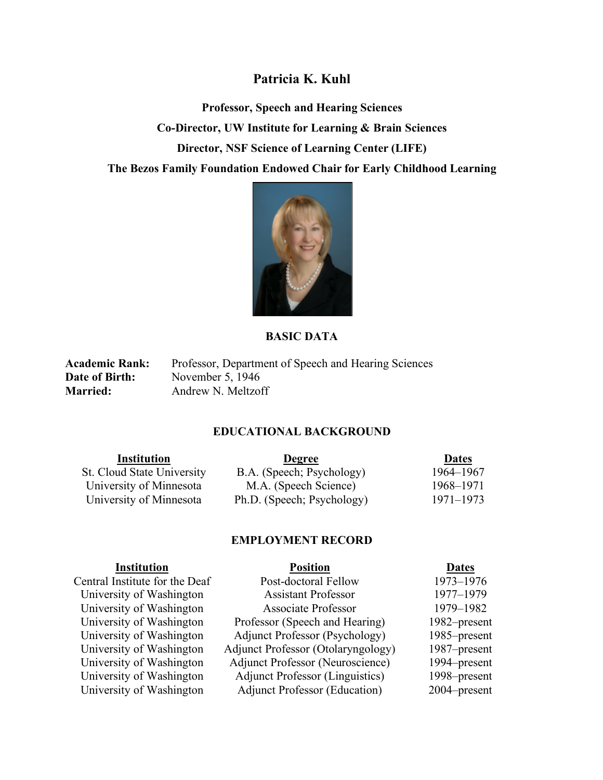## **Patricia K. Kuhl**

**Professor, Speech and Hearing Sciences Co-Director, UW Institute for Learning & Brain Sciences Director, NSF Science of Learning Center (LIFE) The Bezos Family Foundation Endowed Chair for Early Childhood Learning**



#### **BASIC DATA**

Academic Rank: Professor, Department of Speech and Hearing Sciences **Date of Birth:** November 5, 1946 **Married:** Andrew N. Meltzoff

#### **EDUCATIONAL BACKGROUND**

| <b>Institution</b>                | <b>Degree</b>              | <b>Dates</b> |
|-----------------------------------|----------------------------|--------------|
| <b>St. Cloud State University</b> | B.A. (Speech; Psychology)  | 1964–1967    |
| University of Minnesota           | M.A. (Speech Science)      | 1968–1971    |
| University of Minnesota           | Ph.D. (Speech; Psychology) | 1971–1973    |

#### **EMPLOYMENT RECORD**

| <b>Institution</b>             | <b>Position</b>                         | <b>Dates</b> |
|--------------------------------|-----------------------------------------|--------------|
| Central Institute for the Deaf | Post-doctoral Fellow                    | 1973-1976    |
| University of Washington       | <b>Assistant Professor</b>              | 1977-1979    |
| University of Washington       | <b>Associate Professor</b>              | 1979-1982    |
| University of Washington       | Professor (Speech and Hearing)          | 1982–present |
| University of Washington       | <b>Adjunct Professor (Psychology)</b>   | 1985–present |
| University of Washington       | Adjunct Professor (Otolaryngology)      | 1987–present |
| University of Washington       | <b>Adjunct Professor (Neuroscience)</b> | 1994–present |
| University of Washington       | <b>Adjunct Professor (Linguistics)</b>  | 1998–present |
| University of Washington       | <b>Adjunct Professor (Education)</b>    | 2004–present |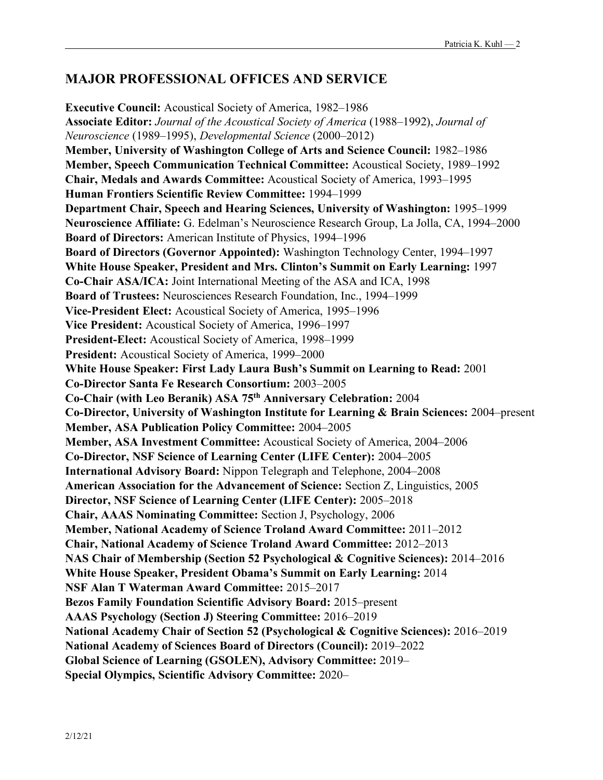## **MAJOR PROFESSIONAL OFFICES AND SERVICE**

**Executive Council:** Acoustical Society of America, 1982–1986 **Associate Editor:** *Journal of the Acoustical Society of America* (1988–1992), *Journal of Neuroscience* (1989–1995), *Developmental Science* (2000–2012) **Member, University of Washington College of Arts and Science Council:** 1982–1986 **Member, Speech Communication Technical Committee:** Acoustical Society, 1989–1992 **Chair, Medals and Awards Committee:** Acoustical Society of America, 1993–1995 **Human Frontiers Scientific Review Committee:** 1994–1999 **Department Chair, Speech and Hearing Sciences, University of Washington:** 1995–1999 **Neuroscience Affiliate:** G. Edelman's Neuroscience Research Group, La Jolla, CA, 1994–2000 **Board of Directors:** American Institute of Physics, 1994–1996 **Board of Directors (Governor Appointed):** Washington Technology Center, 1994–1997 **White House Speaker, President and Mrs. Clinton's Summit on Early Learning:** 1997 **Co-Chair ASA/ICA:** Joint International Meeting of the ASA and ICA, 1998 **Board of Trustees:** Neurosciences Research Foundation, Inc., 1994–1999 **Vice-President Elect:** Acoustical Society of America, 1995–1996 **Vice President:** Acoustical Society of America, 1996–1997 **President-Elect:** Acoustical Society of America, 1998–1999 **President:** Acoustical Society of America, 1999–2000 **White House Speaker: First Lady Laura Bush's Summit on Learning to Read:** 2001 **Co-Director Santa Fe Research Consortium:** 2003–2005 **Co-Chair (with Leo Beranik) ASA 75th Anniversary Celebration:** 2004 **Co-Director, University of Washington Institute for Learning & Brain Sciences:** 2004–present **Member, ASA Publication Policy Committee:** 2004–2005 **Member, ASA Investment Committee:** Acoustical Society of America, 2004–2006 **Co-Director, NSF Science of Learning Center (LIFE Center):** 2004–2005 **International Advisory Board:** Nippon Telegraph and Telephone, 2004–2008 **American Association for the Advancement of Science:** Section Z, Linguistics, 2005 **Director, NSF Science of Learning Center (LIFE Center):** 2005–2018 **Chair, AAAS Nominating Committee:** Section J, Psychology, 2006 **Member, National Academy of Science Troland Award Committee:** 2011–2012 **Chair, National Academy of Science Troland Award Committee:** 2012–2013 **NAS Chair of Membership (Section 52 Psychological & Cognitive Sciences):** 2014–2016 **White House Speaker, President Obama's Summit on Early Learning:** 2014 **NSF Alan T Waterman Award Committee:** 2015–2017 **Bezos Family Foundation Scientific Advisory Board:** 2015–present **AAAS Psychology (Section J) Steering Committee:** 2016–2019 **National Academy Chair of Section 52 (Psychological & Cognitive Sciences):** 2016–2019 **National Academy of Sciences Board of Directors (Council):** 2019–2022 **Global Science of Learning (GSOLEN), Advisory Committee:** 2019– **Special Olympics, Scientific Advisory Committee:** 2020–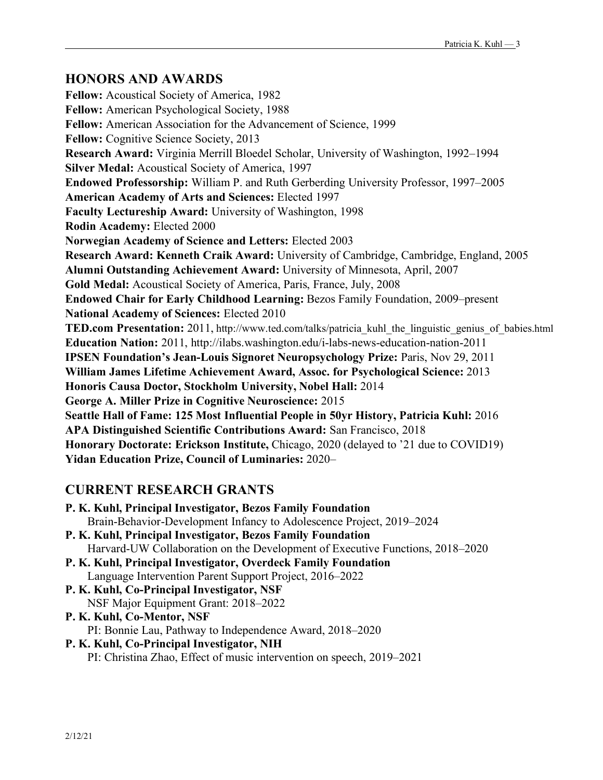## **HONORS AND AWARDS**

**Fellow:** Acoustical Society of America, 1982 **Fellow:** American Psychological Society, 1988 **Fellow:** American Association for the Advancement of Science, 1999 **Fellow:** Cognitive Science Society, 2013 **Research Award:** Virginia Merrill Bloedel Scholar, University of Washington, 1992–1994 **Silver Medal:** Acoustical Society of America, 1997 **Endowed Professorship:** William P. and Ruth Gerberding University Professor, 1997–2005 **American Academy of Arts and Sciences:** Elected 1997 **Faculty Lectureship Award:** University of Washington, 1998 **Rodin Academy:** Elected 2000 **Norwegian Academy of Science and Letters:** Elected 2003 **Research Award: Kenneth Craik Award:** University of Cambridge, Cambridge, England, 2005 **Alumni Outstanding Achievement Award:** University of Minnesota, April, 2007 **Gold Medal:** Acoustical Society of America, Paris, France, July, 2008 **Endowed Chair for Early Childhood Learning:** Bezos Family Foundation, 2009–present **National Academy of Sciences:** Elected 2010 **TED.com Presentation:** 2011, http://www.ted.com/talks/patricia\_kuhl\_the\_linguistic\_genius\_of\_babies.html **Education Nation:** 2011, http://ilabs.washington.edu/i-labs-news-education-nation-2011 **IPSEN Foundation's Jean-Louis Signoret Neuropsychology Prize:** Paris, Nov 29, 2011 **William James Lifetime Achievement Award, Assoc. for Psychological Science:** 2013 **Honoris Causa Doctor, Stockholm University, Nobel Hall:** 2014 **George A. Miller Prize in Cognitive Neuroscience:** 2015 **Seattle Hall of Fame: 125 Most Influential People in 50yr History, Patricia Kuhl:** 2016 **APA Distinguished Scientific Contributions Award:** San Francisco, 2018 **Honorary Doctorate: Erickson Institute,** Chicago, 2020 (delayed to '21 due to COVID19) **Yidan Education Prize, Council of Luminaries:** 2020–

# **CURRENT RESEARCH GRANTS**

| P. K. Kuhl, Principal Investigator, Bezos Family Foundation                   |
|-------------------------------------------------------------------------------|
| Brain-Behavior-Development Infancy to Adolescence Project, 2019–2024          |
| P. K. Kuhl, Principal Investigator, Bezos Family Foundation                   |
| Harvard-UW Collaboration on the Development of Executive Functions, 2018–2020 |
| P. K. Kuhl, Principal Investigator, Overdeck Family Foundation                |
| Language Intervention Parent Support Project, 2016–2022                       |
| P. K. Kuhl, Co-Principal Investigator, NSF                                    |
| NSF Major Equipment Grant: 2018-2022                                          |
| P. K. Kuhl, Co-Mentor, NSF                                                    |

PI: Bonnie Lau, Pathway to Independence Award, 2018–2020

### **P. K. Kuhl, Co-Principal Investigator, NIH**

PI: Christina Zhao, Effect of music intervention on speech, 2019–2021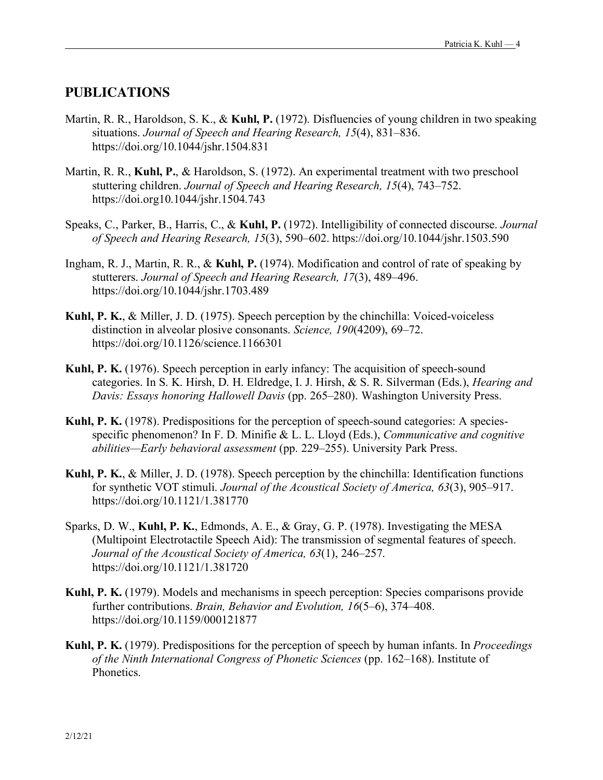### **PUBLICATIONS**

- Martin, R. R., Haroldson, S. K., & **Kuhl, P.** (1972). Disfluencies of young children in two speaking situations. *Journal of Speech and Hearing Research, 15*(4), 831–836. https://doi.org/10.1044/jshr.1504.831
- Martin, R. R., **Kuhl, P.**, & Haroldson, S. (1972). An experimental treatment with two preschool stuttering children. *Journal of Speech and Hearing Research, 15*(4), 743–752. https://doi.org10.1044/jshr.1504.743
- Speaks, C., Parker, B., Harris, C., & **Kuhl, P.** (1972). Intelligibility of connected discourse. *Journal of Speech and Hearing Research, 15*(3), 590–602. https://doi.org/10.1044/jshr.1503.590
- Ingham, R. J., Martin, R. R., & **Kuhl, P.** (1974). Modification and control of rate of speaking by stutterers. *Journal of Speech and Hearing Research, 17*(3), 489–496. https://doi.org/10.1044/jshr.1703.489
- **Kuhl, P. K.**, & Miller, J. D. (1975). Speech perception by the chinchilla: Voiced-voiceless distinction in alveolar plosive consonants. *Science, 190*(4209), 69–72. https://doi.org/10.1126/science.1166301
- **Kuhl, P. K.** (1976). Speech perception in early infancy: The acquisition of speech-sound categories. In S. K. Hirsh, D. H. Eldredge, I. J. Hirsh, & S. R. Silverman (Eds.), *Hearing and Davis: Essays honoring Hallowell Davis* (pp. 265–280). Washington University Press.
- **Kuhl, P. K.** (1978). Predispositions for the perception of speech-sound categories: A speciesspecific phenomenon? In F. D. Minifie & L. L. Lloyd (Eds.), *Communicative and cognitive abilities—Early behavioral assessment* (pp. 229–255). University Park Press.
- **Kuhl, P. K.**, & Miller, J. D. (1978). Speech perception by the chinchilla: Identification functions for synthetic VOT stimuli. *Journal of the Acoustical Society of America, 63*(3), 905–917. https://doi.org/10.1121/1.381770
- Sparks, D. W., **Kuhl, P. K.**, Edmonds, A. E., & Gray, G. P. (1978). Investigating the MESA (Multipoint Electrotactile Speech Aid): The transmission of segmental features of speech. *Journal of the Acoustical Society of America, 63*(1), 246–257. https://doi.org/10.1121/1.381720
- **Kuhl, P. K.** (1979). Models and mechanisms in speech perception: Species comparisons provide further contributions. *Brain, Behavior and Evolution, 16*(5–6), 374–408. https://doi.org/10.1159/000121877
- **Kuhl, P. K.** (1979). Predispositions for the perception of speech by human infants. In *Proceedings of the Ninth International Congress of Phonetic Sciences* (pp. 162–168). Institute of Phonetics.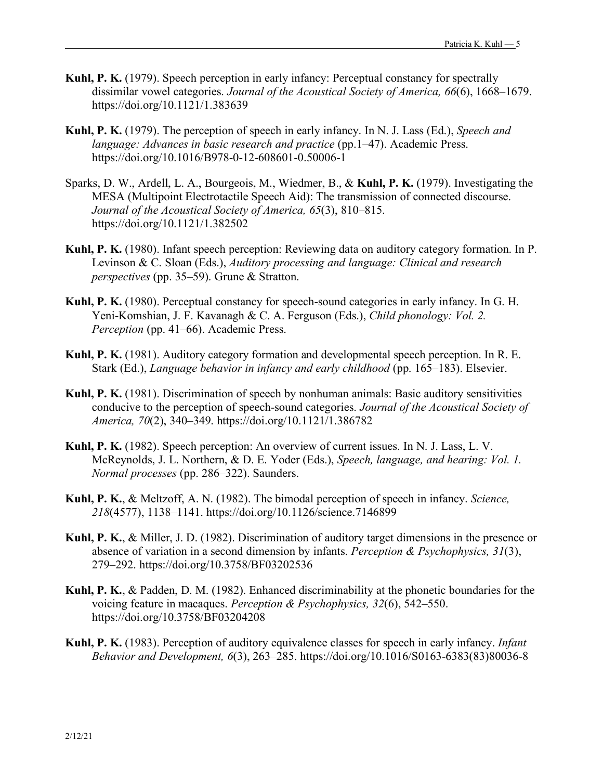- **Kuhl, P. K.** (1979). Speech perception in early infancy: Perceptual constancy for spectrally dissimilar vowel categories. *Journal of the Acoustical Society of America, 66*(6), 1668–1679. https://doi.org/10.1121/1.383639
- **Kuhl, P. K.** (1979). The perception of speech in early infancy. In N. J. Lass (Ed.), *Speech and language: Advances in basic research and practice* (pp.1–47). Academic Press. https://doi.org/10.1016/B978-0-12-608601-0.50006-1
- Sparks, D. W., Ardell, L. A., Bourgeois, M., Wiedmer, B., & **Kuhl, P. K.** (1979). Investigating the MESA (Multipoint Electrotactile Speech Aid): The transmission of connected discourse. *Journal of the Acoustical Society of America, 65*(3), 810–815. https://doi.org/10.1121/1.382502
- **Kuhl, P. K.** (1980). Infant speech perception: Reviewing data on auditory category formation. In P. Levinson & C. Sloan (Eds.), *Auditory processing and language: Clinical and research perspectives* (pp. 35–59). Grune & Stratton.
- **Kuhl, P. K.** (1980). Perceptual constancy for speech-sound categories in early infancy. In G. H. Yeni-Komshian, J. F. Kavanagh & C. A. Ferguson (Eds.), *Child phonology: Vol. 2. Perception* (pp. 41–66). Academic Press.
- **Kuhl, P. K.** (1981). Auditory category formation and developmental speech perception. In R. E. Stark (Ed.), *Language behavior in infancy and early childhood* (pp. 165–183). Elsevier.
- **Kuhl, P. K.** (1981). Discrimination of speech by nonhuman animals: Basic auditory sensitivities conducive to the perception of speech-sound categories. *Journal of the Acoustical Society of America, 70*(2), 340–349. https://doi.org/10.1121/1.386782
- **Kuhl, P. K.** (1982). Speech perception: An overview of current issues. In N. J. Lass, L. V. McReynolds, J. L. Northern, & D. E. Yoder (Eds.), *Speech, language, and hearing: Vol. 1. Normal processes* (pp. 286–322). Saunders.
- **Kuhl, P. K.**, & Meltzoff, A. N. (1982). The bimodal perception of speech in infancy. *Science, 218*(4577), 1138–1141. https://doi.org/10.1126/science.7146899
- **Kuhl, P. K.**, & Miller, J. D. (1982). Discrimination of auditory target dimensions in the presence or absence of variation in a second dimension by infants. *Perception & Psychophysics, 31*(3), 279–292. https://doi.org/10.3758/BF03202536
- **Kuhl, P. K.**, & Padden, D. M. (1982). Enhanced discriminability at the phonetic boundaries for the voicing feature in macaques. *Perception & Psychophysics, 32*(6), 542–550. https://doi.org/10.3758/BF03204208
- **Kuhl, P. K.** (1983). Perception of auditory equivalence classes for speech in early infancy. *Infant Behavior and Development, 6*(3), 263–285. https://doi.org/10.1016/S0163-6383(83)80036-8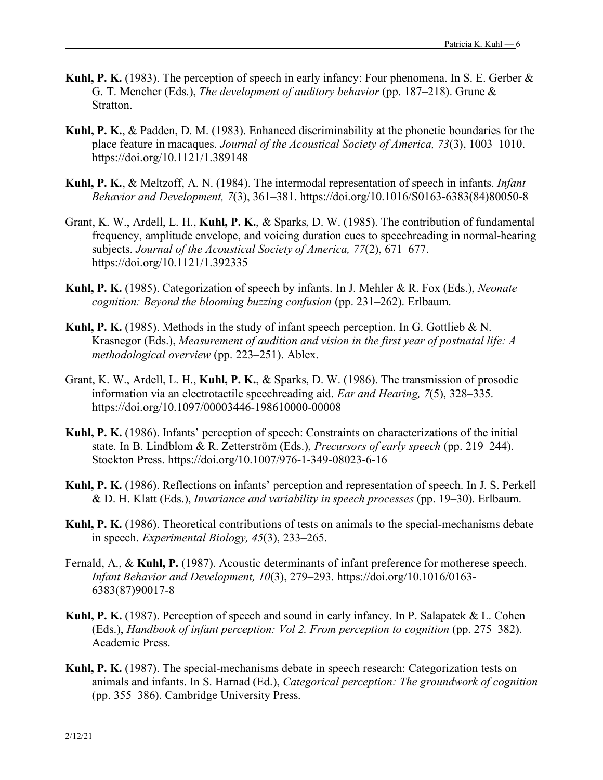- **Kuhl, P. K.** (1983). The perception of speech in early infancy: Four phenomena. In S. E. Gerber & G. T. Mencher (Eds.), *The development of auditory behavior* (pp. 187–218). Grune & Stratton.
- **Kuhl, P. K.**, & Padden, D. M. (1983). Enhanced discriminability at the phonetic boundaries for the place feature in macaques. *Journal of the Acoustical Society of America, 73*(3), 1003–1010. https://doi.org/10.1121/1.389148
- **Kuhl, P. K.**, & Meltzoff, A. N. (1984). The intermodal representation of speech in infants. *Infant Behavior and Development, 7*(3), 361–381. https://doi.org/10.1016/S0163-6383(84)80050-8
- Grant, K. W., Ardell, L. H., **Kuhl, P. K.**, & Sparks, D. W. (1985). The contribution of fundamental frequency, amplitude envelope, and voicing duration cues to speechreading in normal-hearing subjects. *Journal of the Acoustical Society of America, 77*(2), 671–677. https://doi.org/10.1121/1.392335
- **Kuhl, P. K.** (1985). Categorization of speech by infants. In J. Mehler & R. Fox (Eds.), *Neonate cognition: Beyond the blooming buzzing confusion* (pp. 231–262). Erlbaum.
- **Kuhl, P. K.** (1985). Methods in the study of infant speech perception. In G. Gottlieb & N. Krasnegor (Eds.), *Measurement of audition and vision in the first year of postnatal life: A methodological overview* (pp. 223–251). Ablex.
- Grant, K. W., Ardell, L. H., **Kuhl, P. K.**, & Sparks, D. W. (1986). The transmission of prosodic information via an electrotactile speechreading aid. *Ear and Hearing, 7*(5), 328–335. https://doi.org/10.1097/00003446-198610000-00008
- **Kuhl, P. K.** (1986). Infants' perception of speech: Constraints on characterizations of the initial state. In B. Lindblom & R. Zetterström (Eds.), *Precursors of early speech* (pp. 219–244). Stockton Press. https://doi.org/10.1007/976-1-349-08023-6-16
- **Kuhl, P. K.** (1986). Reflections on infants' perception and representation of speech. In J. S. Perkell & D. H. Klatt (Eds.), *Invariance and variability in speech processes* (pp. 19–30). Erlbaum.
- **Kuhl, P. K.** (1986). Theoretical contributions of tests on animals to the special-mechanisms debate in speech. *Experimental Biology, 45*(3), 233–265.
- Fernald, A., & **Kuhl, P.** (1987). Acoustic determinants of infant preference for motherese speech. *Infant Behavior and Development, 10*(3), 279–293. https://doi.org/10.1016/0163- 6383(87)90017-8
- **Kuhl, P. K.** (1987). Perception of speech and sound in early infancy. In P. Salapatek & L. Cohen (Eds.), *Handbook of infant perception: Vol 2. From perception to cognition* (pp. 275–382). Academic Press.
- **Kuhl, P. K.** (1987). The special-mechanisms debate in speech research: Categorization tests on animals and infants. In S. Harnad (Ed.), *Categorical perception: The groundwork of cognition* (pp. 355–386). Cambridge University Press.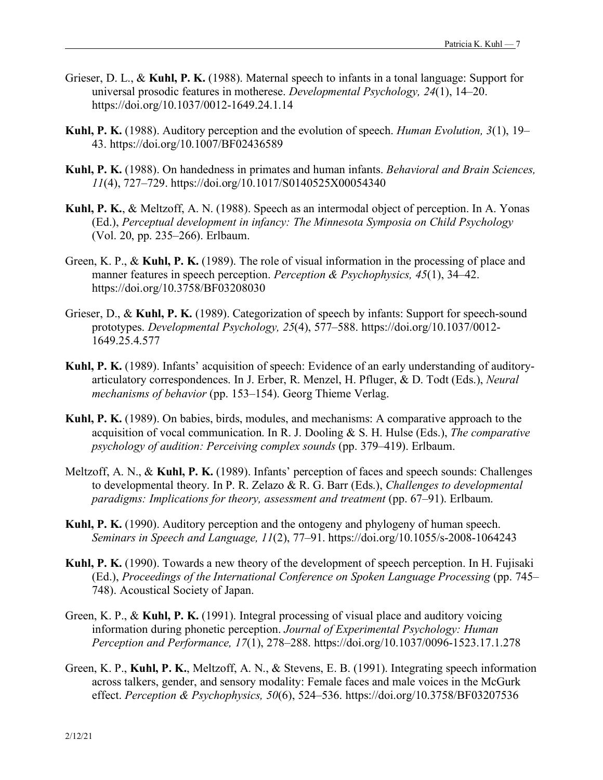- Grieser, D. L., & **Kuhl, P. K.** (1988). Maternal speech to infants in a tonal language: Support for universal prosodic features in motherese. *Developmental Psychology, 24*(1), 14–20. https://doi.org/10.1037/0012-1649.24.1.14
- **Kuhl, P. K.** (1988). Auditory perception and the evolution of speech. *Human Evolution, 3*(1), 19– 43. https://doi.org/10.1007/BF02436589
- **Kuhl, P. K.** (1988). On handedness in primates and human infants. *Behavioral and Brain Sciences, 11*(4), 727–729. https://doi.org/10.1017/S0140525X00054340
- **Kuhl, P. K.**, & Meltzoff, A. N. (1988). Speech as an intermodal object of perception. In A. Yonas (Ed.), *Perceptual development in infancy: The Minnesota Symposia on Child Psychology* (Vol. 20, pp. 235–266). Erlbaum.
- Green, K. P., & **Kuhl, P. K.** (1989). The role of visual information in the processing of place and manner features in speech perception. *Perception & Psychophysics, 45*(1), 34–42. https://doi.org/10.3758/BF03208030
- Grieser, D., & **Kuhl, P. K.** (1989). Categorization of speech by infants: Support for speech-sound prototypes. *Developmental Psychology, 25*(4), 577–588. https://doi.org/10.1037/0012- 1649.25.4.577
- **Kuhl, P. K.** (1989). Infants' acquisition of speech: Evidence of an early understanding of auditoryarticulatory correspondences. In J. Erber, R. Menzel, H. Pfluger, & D. Todt (Eds.), *Neural mechanisms of behavior* (pp. 153–154). Georg Thieme Verlag.
- **Kuhl, P. K.** (1989). On babies, birds, modules, and mechanisms: A comparative approach to the acquisition of vocal communication. In R. J. Dooling & S. H. Hulse (Eds.), *The comparative psychology of audition: Perceiving complex sounds* (pp. 379–419). Erlbaum.
- Meltzoff, A. N., & **Kuhl, P. K.** (1989). Infants' perception of faces and speech sounds: Challenges to developmental theory. In P. R. Zelazo & R. G. Barr (Eds.), *Challenges to developmental paradigms: Implications for theory, assessment and treatment* (pp. 67–91). Erlbaum.
- **Kuhl, P. K.** (1990). Auditory perception and the ontogeny and phylogeny of human speech. *Seminars in Speech and Language, 11*(2), 77–91. https://doi.org/10.1055/s-2008-1064243
- **Kuhl, P. K.** (1990). Towards a new theory of the development of speech perception. In H. Fujisaki (Ed.), *Proceedings of the International Conference on Spoken Language Processing* (pp. 745– 748). Acoustical Society of Japan.
- Green, K. P., & **Kuhl, P. K.** (1991). Integral processing of visual place and auditory voicing information during phonetic perception. *Journal of Experimental Psychology: Human Perception and Performance, 17*(1), 278–288. https://doi.org/10.1037/0096-1523.17.1.278
- Green, K. P., **Kuhl, P. K.**, Meltzoff, A. N., & Stevens, E. B. (1991). Integrating speech information across talkers, gender, and sensory modality: Female faces and male voices in the McGurk effect. *Perception & Psychophysics, 50*(6), 524–536. https://doi.org/10.3758/BF03207536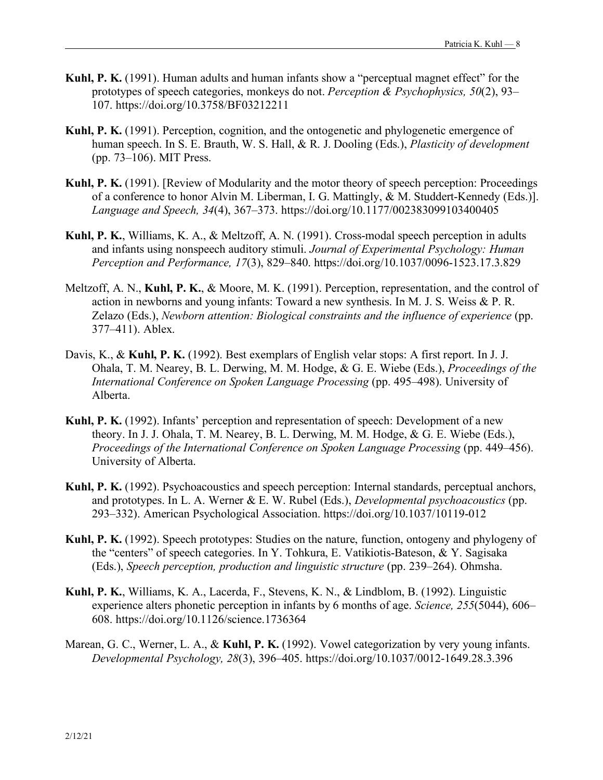- **Kuhl, P. K.** (1991). Human adults and human infants show a "perceptual magnet effect" for the prototypes of speech categories, monkeys do not. *Perception & Psychophysics, 50*(2), 93– 107. https://doi.org/10.3758/BF03212211
- **Kuhl, P. K.** (1991). Perception, cognition, and the ontogenetic and phylogenetic emergence of human speech. In S. E. Brauth, W. S. Hall, & R. J. Dooling (Eds.), *Plasticity of development* (pp. 73–106). MIT Press.
- **Kuhl, P. K.** (1991). [Review of Modularity and the motor theory of speech perception: Proceedings of a conference to honor Alvin M. Liberman, I. G. Mattingly, & M. Studdert-Kennedy (Eds.)]. *Language and Speech, 34*(4), 367–373. https://doi.org/10.1177/002383099103400405
- **Kuhl, P. K.**, Williams, K. A., & Meltzoff, A. N. (1991). Cross-modal speech perception in adults and infants using nonspeech auditory stimuli. *Journal of Experimental Psychology: Human Perception and Performance, 17*(3), 829–840. https://doi.org/10.1037/0096-1523.17.3.829
- Meltzoff, A. N., **Kuhl, P. K.**, & Moore, M. K. (1991). Perception, representation, and the control of action in newborns and young infants: Toward a new synthesis. In M. J. S. Weiss & P. R. Zelazo (Eds.), *Newborn attention: Biological constraints and the influence of experience* (pp. 377–411). Ablex.
- Davis, K., & **Kuhl, P. K.** (1992). Best exemplars of English velar stops: A first report. In J. J. Ohala, T. M. Nearey, B. L. Derwing, M. M. Hodge, & G. E. Wiebe (Eds.), *Proceedings of the International Conference on Spoken Language Processing* (pp. 495–498). University of Alberta.
- **Kuhl, P. K.** (1992). Infants' perception and representation of speech: Development of a new theory. In J. J. Ohala, T. M. Nearey, B. L. Derwing, M. M. Hodge, & G. E. Wiebe (Eds.), *Proceedings of the International Conference on Spoken Language Processing* (pp. 449–456). University of Alberta.
- **Kuhl, P. K.** (1992). Psychoacoustics and speech perception: Internal standards, perceptual anchors, and prototypes. In L. A. Werner & E. W. Rubel (Eds.), *Developmental psychoacoustics* (pp. 293–332). American Psychological Association. https://doi.org/10.1037/10119-012
- **Kuhl, P. K.** (1992). Speech prototypes: Studies on the nature, function, ontogeny and phylogeny of the "centers" of speech categories. In Y. Tohkura, E. Vatikiotis-Bateson, & Y. Sagisaka (Eds.), *Speech perception, production and linguistic structure* (pp. 239–264). Ohmsha.
- **Kuhl, P. K.**, Williams, K. A., Lacerda, F., Stevens, K. N., & Lindblom, B. (1992). Linguistic experience alters phonetic perception in infants by 6 months of age. *Science, 255*(5044), 606– 608. https://doi.org/10.1126/science.1736364
- Marean, G. C., Werner, L. A., & **Kuhl, P. K.** (1992). Vowel categorization by very young infants. *Developmental Psychology, 28*(3), 396–405. https://doi.org/10.1037/0012-1649.28.3.396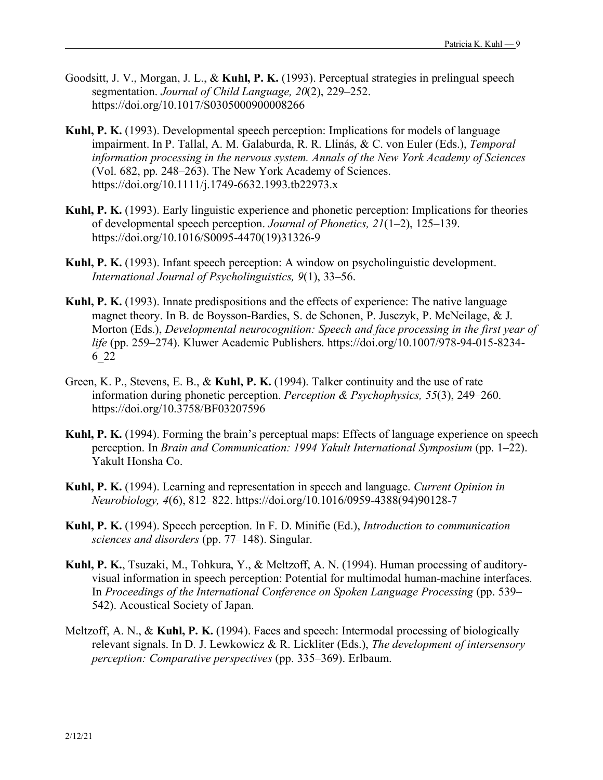- Goodsitt, J. V., Morgan, J. L., & **Kuhl, P. K.** (1993). Perceptual strategies in prelingual speech segmentation. *Journal of Child Language, 20*(2), 229–252. https://doi.org/10.1017/S0305000900008266
- **Kuhl, P. K.** (1993). Developmental speech perception: Implications for models of language impairment. In P. Tallal, A. M. Galaburda, R. R. Llinás, & C. von Euler (Eds.), *Temporal information processing in the nervous system. Annals of the New York Academy of Sciences* (Vol. 682, pp. 248–263). The New York Academy of Sciences. https://doi.org/10.1111/j.1749-6632.1993.tb22973.x
- **Kuhl, P. K.** (1993). Early linguistic experience and phonetic perception: Implications for theories of developmental speech perception. *Journal of Phonetics, 21*(1–2), 125–139. https://doi.org/10.1016/S0095-4470(19)31326-9
- **Kuhl, P. K.** (1993). Infant speech perception: A window on psycholinguistic development. *International Journal of Psycholinguistics, 9*(1), 33–56.
- **Kuhl, P. K.** (1993). Innate predispositions and the effects of experience: The native language magnet theory. In B. de Boysson-Bardies, S. de Schonen, P. Jusczyk, P. McNeilage, & J. Morton (Eds.), *Developmental neurocognition: Speech and face processing in the first year of life* (pp. 259–274). Kluwer Academic Publishers. https://doi.org/10.1007/978-94-015-8234- 6\_22
- Green, K. P., Stevens, E. B., & **Kuhl, P. K.** (1994). Talker continuity and the use of rate information during phonetic perception. *Perception & Psychophysics, 55*(3), 249–260. https://doi.org/10.3758/BF03207596
- **Kuhl, P. K.** (1994). Forming the brain's perceptual maps: Effects of language experience on speech perception. In *Brain and Communication: 1994 Yakult International Symposium* (pp. 1–22). Yakult Honsha Co.
- **Kuhl, P. K.** (1994). Learning and representation in speech and language. *Current Opinion in Neurobiology, 4*(6), 812–822. https://doi.org/10.1016/0959-4388(94)90128-7
- **Kuhl, P. K.** (1994). Speech perception. In F. D. Minifie (Ed.), *Introduction to communication sciences and disorders* (pp. 77–148). Singular.
- **Kuhl, P. K.**, Tsuzaki, M., Tohkura, Y., & Meltzoff, A. N. (1994). Human processing of auditoryvisual information in speech perception: Potential for multimodal human-machine interfaces. In *Proceedings of the International Conference on Spoken Language Processing* (pp. 539– 542). Acoustical Society of Japan.
- Meltzoff, A. N., & **Kuhl, P. K.** (1994). Faces and speech: Intermodal processing of biologically relevant signals. In D. J. Lewkowicz & R. Lickliter (Eds.), *The development of intersensory perception: Comparative perspectives* (pp. 335–369). Erlbaum.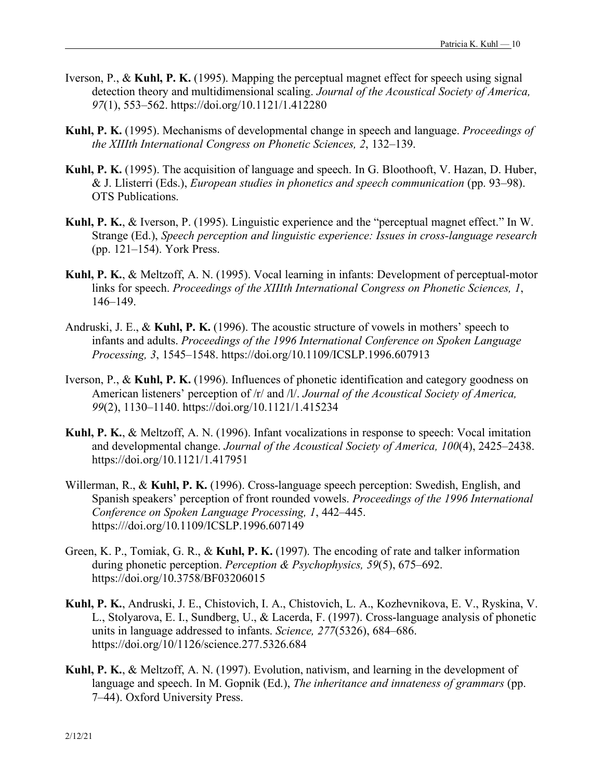- Iverson, P., & **Kuhl, P. K.** (1995). Mapping the perceptual magnet effect for speech using signal detection theory and multidimensional scaling. *Journal of the Acoustical Society of America, 97*(1), 553–562. https://doi.org/10.1121/1.412280
- **Kuhl, P. K.** (1995). Mechanisms of developmental change in speech and language. *Proceedings of the XIIIth International Congress on Phonetic Sciences, 2*, 132–139.
- **Kuhl, P. K.** (1995). The acquisition of language and speech. In G. Bloothooft, V. Hazan, D. Huber, & J. Llisterri (Eds.), *European studies in phonetics and speech communication* (pp. 93–98). OTS Publications.
- **Kuhl, P. K.**, & Iverson, P. (1995). Linguistic experience and the "perceptual magnet effect." In W. Strange (Ed.), *Speech perception and linguistic experience: Issues in cross-language research* (pp. 121–154). York Press.
- **Kuhl, P. K.**, & Meltzoff, A. N. (1995). Vocal learning in infants: Development of perceptual-motor links for speech. *Proceedings of the XIIIth International Congress on Phonetic Sciences, 1*, 146–149.
- Andruski, J. E., & **Kuhl, P. K.** (1996). The acoustic structure of vowels in mothers' speech to infants and adults. *Proceedings of the 1996 International Conference on Spoken Language Processing, 3*, 1545–1548. https://doi.org/10.1109/ICSLP.1996.607913
- Iverson, P., & **Kuhl, P. K.** (1996). Influences of phonetic identification and category goodness on American listeners' perception of /r/ and /l/. *Journal of the Acoustical Society of America, 99*(2), 1130–1140. https://doi.org/10.1121/1.415234
- **Kuhl, P. K.**, & Meltzoff, A. N. (1996). Infant vocalizations in response to speech: Vocal imitation and developmental change. *Journal of the Acoustical Society of America, 100*(4), 2425–2438. https://doi.org/10.1121/1.417951
- Willerman, R., & **Kuhl, P. K.** (1996). Cross-language speech perception: Swedish, English, and Spanish speakers' perception of front rounded vowels. *Proceedings of the 1996 International Conference on Spoken Language Processing, 1*, 442–445. https:///doi.org/10.1109/ICSLP.1996.607149
- Green, K. P., Tomiak, G. R., & **Kuhl, P. K.** (1997). The encoding of rate and talker information during phonetic perception. *Perception & Psychophysics, 59*(5), 675–692. https://doi.org/10.3758/BF03206015
- **Kuhl, P. K.**, Andruski, J. E., Chistovich, I. A., Chistovich, L. A., Kozhevnikova, E. V., Ryskina, V. L., Stolyarova, E. I., Sundberg, U., & Lacerda, F. (1997). Cross-language analysis of phonetic units in language addressed to infants. *Science, 277*(5326), 684–686. https://doi.org/10/1126/science.277.5326.684
- **Kuhl, P. K.**, & Meltzoff, A. N. (1997). Evolution, nativism, and learning in the development of language and speech. In M. Gopnik (Ed.), *The inheritance and innateness of grammars* (pp. 7–44). Oxford University Press.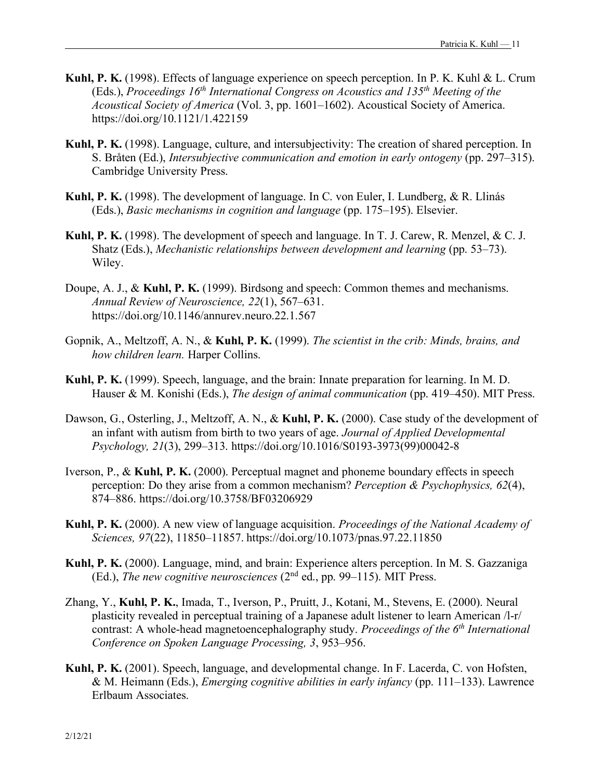- **Kuhl, P. K.** (1998). Effects of language experience on speech perception. In P. K. Kuhl & L. Crum (Eds.), *Proceedings 16th International Congress on Acoustics and 135th Meeting of the Acoustical Society of America* (Vol. 3, pp. 1601–1602). Acoustical Society of America. https://doi.org/10.1121/1.422159
- **Kuhl, P. K.** (1998). Language, culture, and intersubjectivity: The creation of shared perception. In S. Bråten (Ed.), *Intersubjective communication and emotion in early ontogeny* (pp. 297–315). Cambridge University Press.
- **Kuhl, P. K.** (1998). The development of language. In C. von Euler, I. Lundberg, & R. Llinás (Eds.), *Basic mechanisms in cognition and language* (pp. 175–195). Elsevier.
- **Kuhl, P. K.** (1998). The development of speech and language. In T. J. Carew, R. Menzel, & C. J. Shatz (Eds.), *Mechanistic relationships between development and learning* (pp. 53–73). Wiley.
- Doupe, A. J., & **Kuhl, P. K.** (1999). Birdsong and speech: Common themes and mechanisms. *Annual Review of Neuroscience, 22*(1), 567–631. https://doi.org/10.1146/annurev.neuro.22.1.567
- Gopnik, A., Meltzoff, A. N., & **Kuhl, P. K.** (1999). *The scientist in the crib: Minds, brains, and how children learn.* Harper Collins.
- **Kuhl, P. K.** (1999). Speech, language, and the brain: Innate preparation for learning. In M. D. Hauser & M. Konishi (Eds.), *The design of animal communication* (pp. 419–450). MIT Press.
- Dawson, G., Osterling, J., Meltzoff, A. N., & **Kuhl, P. K.** (2000). Case study of the development of an infant with autism from birth to two years of age. *Journal of Applied Developmental Psychology, 21*(3), 299–313. https://doi.org/10.1016/S0193-3973(99)00042-8
- Iverson, P., & **Kuhl, P. K.** (2000). Perceptual magnet and phoneme boundary effects in speech perception: Do they arise from a common mechanism? *Perception & Psychophysics, 62*(4), 874–886. https://doi.org/10.3758/BF03206929
- **Kuhl, P. K.** (2000). A new view of language acquisition. *Proceedings of the National Academy of Sciences, 97*(22), 11850–11857. https://doi.org/10.1073/pnas.97.22.11850
- **Kuhl, P. K.** (2000). Language, mind, and brain: Experience alters perception. In M. S. Gazzaniga (Ed.), *The new cognitive neurosciences* (2nd ed., pp. 99–115). MIT Press.
- Zhang, Y., **Kuhl, P. K.**, Imada, T., Iverson, P., Pruitt, J., Kotani, M., Stevens, E. (2000). Neural plasticity revealed in perceptual training of a Japanese adult listener to learn American /l-r/ contrast: A whole-head magnetoencephalography study. *Proceedings of the 6<sup>th</sup> International Conference on Spoken Language Processing, 3*, 953–956.
- **Kuhl, P. K.** (2001). Speech, language, and developmental change. In F. Lacerda, C. von Hofsten, & M. Heimann (Eds.), *Emerging cognitive abilities in early infancy* (pp. 111–133). Lawrence Erlbaum Associates.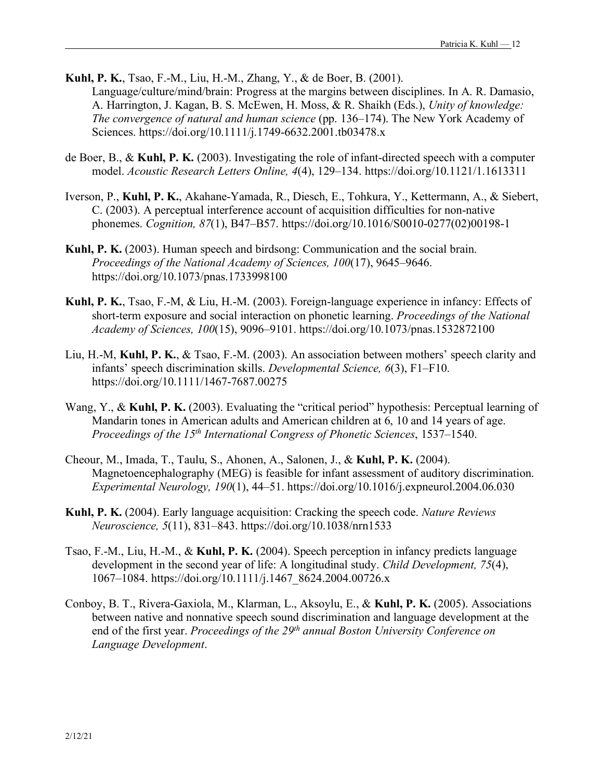- **Kuhl, P. K.**, Tsao, F.-M., Liu, H.-M., Zhang, Y., & de Boer, B. (2001). Language/culture/mind/brain: Progress at the margins between disciplines. In A. R. Damasio, A. Harrington, J. Kagan, B. S. McEwen, H. Moss, & R. Shaikh (Eds.), *Unity of knowledge: The convergence of natural and human science* (pp. 136–174). The New York Academy of Sciences. https://doi.org/10.1111/j.1749-6632.2001.tb03478.x
- de Boer, B., & **Kuhl, P. K.** (2003). Investigating the role of infant-directed speech with a computer model. *Acoustic Research Letters Online, 4*(4), 129–134. https://doi.org/10.1121/1.1613311
- Iverson, P., **Kuhl, P. K.**, Akahane-Yamada, R., Diesch, E., Tohkura, Y., Kettermann, A., & Siebert, C. (2003). A perceptual interference account of acquisition difficulties for non-native phonemes. *Cognition, 87*(1), B47–B57. https://doi.org/10.1016/S0010-0277(02)00198-1
- **Kuhl, P. K.** (2003). Human speech and birdsong: Communication and the social brain. *Proceedings of the National Academy of Sciences, 100*(17), 9645–9646. https://doi.org/10.1073/pnas.1733998100
- **Kuhl, P. K.**, Tsao, F.-M, & Liu, H.-M. (2003). Foreign-language experience in infancy: Effects of short-term exposure and social interaction on phonetic learning. *Proceedings of the National Academy of Sciences, 100*(15), 9096–9101. https://doi.org/10.1073/pnas.1532872100
- Liu, H.-M, **Kuhl, P. K.**, & Tsao, F.-M. (2003). An association between mothers' speech clarity and infants' speech discrimination skills. *Developmental Science, 6*(3), F1–F10. https://doi.org/10.1111/1467-7687.00275
- Wang, Y., & **Kuhl, P. K.** (2003). Evaluating the "critical period" hypothesis: Perceptual learning of Mandarin tones in American adults and American children at 6, 10 and 14 years of age. *Proceedings of the 15th International Congress of Phonetic Sciences*, 1537–1540.
- Cheour, M., Imada, T., Taulu, S., Ahonen, A., Salonen, J., & **Kuhl, P. K.** (2004). Magnetoencephalography (MEG) is feasible for infant assessment of auditory discrimination. *Experimental Neurology, 190*(1), 44–51. https://doi.org/10.1016/j.expneurol.2004.06.030
- **Kuhl, P. K.** (2004). Early language acquisition: Cracking the speech code. *Nature Reviews Neuroscience, 5*(11), 831–843. https://doi.org/10.1038/nrn1533
- Tsao, F.-M., Liu, H.-M., & **Kuhl, P. K.** (2004). Speech perception in infancy predicts language development in the second year of life: A longitudinal study. *Child Development, 75*(4), 1067–1084. https://doi.org/10.1111/j.1467\_8624.2004.00726.x
- Conboy, B. T., Rivera-Gaxiola, M., Klarman, L., Aksoylu, E., & **Kuhl, P. K.** (2005). Associations between native and nonnative speech sound discrimination and language development at the end of the first year. *Proceedings of the 29th annual Boston University Conference on Language Development*.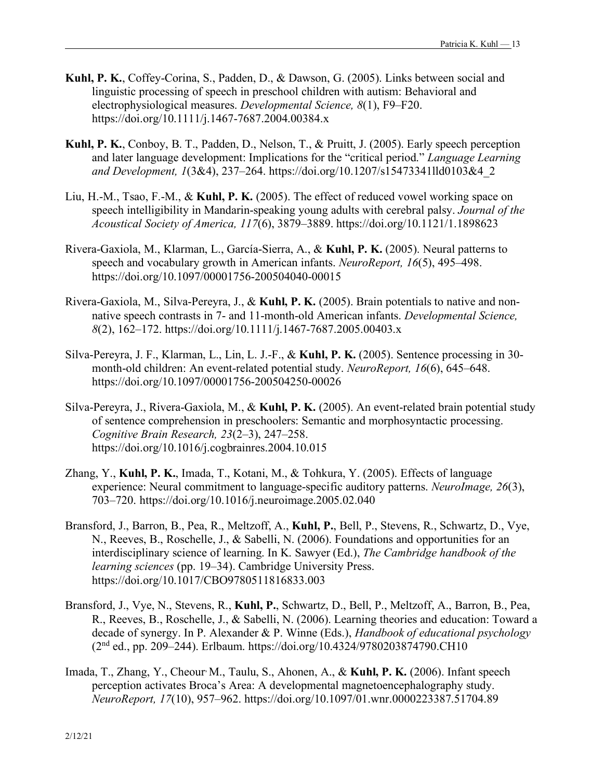- **Kuhl, P. K.**, Coffey-Corina, S., Padden, D., & Dawson, G. (2005). Links between social and linguistic processing of speech in preschool children with autism: Behavioral and electrophysiological measures. *Developmental Science, 8*(1), F9–F20. https://doi.org/10.1111/j.1467-7687.2004.00384.x
- **Kuhl, P. K.**, Conboy, B. T., Padden, D., Nelson, T., & Pruitt, J. (2005). Early speech perception and later language development: Implications for the "critical period." *Language Learning and Development, 1*(3&4), 237–264. https://doi.org/10.1207/s15473341lld0103&4\_2
- Liu, H.-M., Tsao, F.-M., & **Kuhl, P. K.** (2005). The effect of reduced vowel working space on speech intelligibility in Mandarin-speaking young adults with cerebral palsy. *Journal of the Acoustical Society of America, 117*(6), 3879–3889. https://doi.org/10.1121/1.1898623
- Rivera-Gaxiola, M., Klarman, L., García-Sierra, A., & **Kuhl, P. K.** (2005). Neural patterns to speech and vocabulary growth in American infants. *NeuroReport, 16*(5), 495–498. https://doi.org/10.1097/00001756-200504040-00015
- Rivera-Gaxiola, M., Silva-Pereyra, J., & **Kuhl, P. K.** (2005). Brain potentials to native and nonnative speech contrasts in 7- and 11-month-old American infants. *Developmental Science, 8*(2), 162–172. https://doi.org/10.1111/j.1467-7687.2005.00403.x
- Silva-Pereyra, J. F., Klarman, L., Lin, L. J.-F., & **Kuhl, P. K.** (2005). Sentence processing in 30 month-old children: An event-related potential study. *NeuroReport, 16*(6), 645–648. https://doi.org/10.1097/00001756-200504250-00026
- Silva-Pereyra, J., Rivera-Gaxiola, M., & **Kuhl, P. K.** (2005). An event-related brain potential study of sentence comprehension in preschoolers: Semantic and morphosyntactic processing. *Cognitive Brain Research, 23*(2–3), 247–258. https://doi.org/10.1016/j.cogbrainres.2004.10.015
- Zhang, Y., **Kuhl, P. K.**, Imada, T., Kotani, M., & Tohkura, Y. (2005). Effects of language experience: Neural commitment to language-specific auditory patterns. *NeuroImage, 26*(3), 703–720. https://doi.org/10.1016/j.neuroimage.2005.02.040
- Bransford, J., Barron, B., Pea, R., Meltzoff, A., **Kuhl, P.**, Bell, P., Stevens, R., Schwartz, D., Vye, N., Reeves, B., Roschelle, J., & Sabelli, N. (2006). Foundations and opportunities for an interdisciplinary science of learning. In K. Sawyer (Ed.), *The Cambridge handbook of the learning sciences* (pp. 19–34). Cambridge University Press. https://doi.org/10.1017/CBO9780511816833.003
- Bransford, J., Vye, N., Stevens, R., **Kuhl, P.**, Schwartz, D., Bell, P., Meltzoff, A., Barron, B., Pea, R., Reeves, B., Roschelle, J., & Sabelli, N. (2006). Learning theories and education: Toward a decade of synergy. In P. Alexander & P. Winne (Eds.), *Handbook of educational psychology* (2nd ed., pp. 209–244). Erlbaum. https://doi.org/10.4324/9780203874790.CH10
- Imada, T., Zhang, Y., Cheour, M., Taulu, S., Ahonen, A., & **Kuhl, P. K.** (2006). Infant speech perception activates Broca's Area: A developmental magnetoencephalography study. *NeuroReport, 17*(10), 957–962. https://doi.org/10.1097/01.wnr.0000223387.51704.89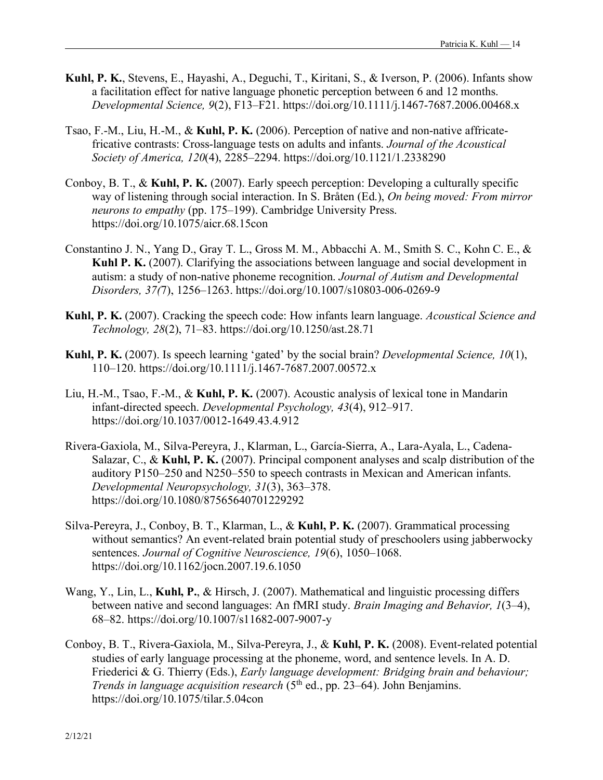- **Kuhl, P. K.**, Stevens, E., Hayashi, A., Deguchi, T., Kiritani, S., & Iverson, P. (2006). Infants show a facilitation effect for native language phonetic perception between 6 and 12 months. *Developmental Science, 9*(2), F13–F21. https://doi.org/10.1111/j.1467-7687.2006.00468.x
- Tsao, F.-M., Liu, H.-M., & **Kuhl, P. K.** (2006). Perception of native and non-native affricatefricative contrasts: Cross-language tests on adults and infants. *Journal of the Acoustical Society of America, 120*(4), 2285–2294. https://doi.org/10.1121/1.2338290
- Conboy, B. T., & **Kuhl, P. K.** (2007). Early speech perception: Developing a culturally specific way of listening through social interaction. In S. Bråten (Ed.), *On being moved: From mirror neurons to empathy* (pp. 175–199). Cambridge University Press. https://doi.org/10.1075/aicr.68.15con
- Constantino J. N., Yang D., Gray T. L., Gross M. M., Abbacchi A. M., Smith S. C., Kohn C. E., & **Kuhl P. K.** (2007). Clarifying the associations between language and social development in autism: a study of non-native phoneme recognition. *Journal of Autism and Developmental Disorders, 37(*7), 1256–1263. https://doi.org/10.1007/s10803-006-0269-9
- **Kuhl, P. K.** (2007). Cracking the speech code: How infants learn language. *Acoustical Science and Technology, 28*(2), 71–83. https://doi.org/10.1250/ast.28.71
- **Kuhl, P. K.** (2007). Is speech learning 'gated' by the social brain? *Developmental Science, 10*(1), 110–120. https://doi.org/10.1111/j.1467-7687.2007.00572.x
- Liu, H.-M., Tsao, F.-M., & **Kuhl, P. K.** (2007). Acoustic analysis of lexical tone in Mandarin infant-directed speech. *Developmental Psychology, 43*(4), 912–917. https://doi.org/10.1037/0012-1649.43.4.912
- Rivera-Gaxiola, M., Silva-Pereyra, J., Klarman, L., García-Sierra, A., Lara-Ayala, L., Cadena-Salazar, C., & **Kuhl, P. K.** (2007). Principal component analyses and scalp distribution of the auditory P150–250 and N250–550 to speech contrasts in Mexican and American infants. *Developmental Neuropsychology, 31*(3), 363–378. https://doi.org/10.1080/87565640701229292
- Silva-Pereyra, J., Conboy, B. T., Klarman, L., & **Kuhl, P. K.** (2007). Grammatical processing without semantics? An event-related brain potential study of preschoolers using jabberwocky sentences. *Journal of Cognitive Neuroscience, 19*(6), 1050–1068. https://doi.org/10.1162/jocn.2007.19.6.1050
- Wang, Y., Lin, L., **Kuhl, P.**, & Hirsch, J. (2007). Mathematical and linguistic processing differs between native and second languages: An fMRI study. *Brain Imaging and Behavior, 1*(3–4), 68–82. https://doi.org/10.1007/s11682-007-9007-y
- Conboy, B. T., Rivera-Gaxiola, M., Silva-Pereyra, J., & **Kuhl, P. K.** (2008). Event-related potential studies of early language processing at the phoneme, word, and sentence levels. In A. D. Friederici & G. Thierry (Eds.), *Early language development: Bridging brain and behaviour; Trends in language acquisition research* (5<sup>th</sup> ed., pp. 23–64). John Benjamins. https://doi.org/10.1075/tilar.5.04con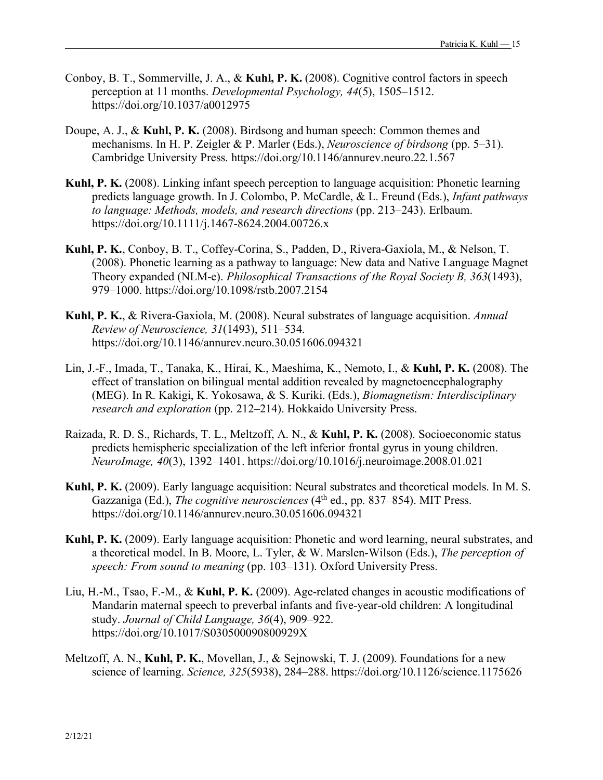- Conboy, B. T., Sommerville, J. A., & **Kuhl, P. K.** (2008). Cognitive control factors in speech perception at 11 months. *Developmental Psychology, 44*(5), 1505–1512. https://doi.org/10.1037/a0012975
- Doupe, A. J., & **Kuhl, P. K.** (2008). Birdsong and human speech: Common themes and mechanisms. In H. P. Zeigler & P. Marler (Eds.), *Neuroscience of birdsong* (pp. 5–31). Cambridge University Press. https://doi.org/10.1146/annurev.neuro.22.1.567
- **Kuhl, P. K.** (2008). Linking infant speech perception to language acquisition: Phonetic learning predicts language growth. In J. Colombo, P. McCardle, & L. Freund (Eds.), *Infant pathways to language: Methods, models, and research directions* (pp. 213–243). Erlbaum. https://doi.org/10.1111/j.1467-8624.2004.00726.x
- **Kuhl, P. K.**, Conboy, B. T., Coffey-Corina, S., Padden, D., Rivera-Gaxiola, M., & Nelson, T. (2008). Phonetic learning as a pathway to language: New data and Native Language Magnet Theory expanded (NLM-e). *Philosophical Transactions of the Royal Society B, 363*(1493), 979–1000. https://doi.org/10.1098/rstb.2007.2154
- **Kuhl, P. K.**, & Rivera-Gaxiola, M. (2008). Neural substrates of language acquisition. *Annual Review of Neuroscience, 31*(1493), 511–534. https://doi.org/10.1146/annurev.neuro.30.051606.094321
- Lin, J.-F., Imada, T., Tanaka, K., Hirai, K., Maeshima, K., Nemoto, I., & **Kuhl, P. K.** (2008). The effect of translation on bilingual mental addition revealed by magnetoencephalography (MEG). In R. Kakigi, K. Yokosawa, & S. Kuriki. (Eds.), *Biomagnetism: Interdisciplinary research and exploration* (pp. 212–214). Hokkaido University Press.
- Raizada, R. D. S., Richards, T. L., Meltzoff, A. N., & **Kuhl, P. K.** (2008). Socioeconomic status predicts hemispheric specialization of the left inferior frontal gyrus in young children. *NeuroImage, 40*(3), 1392–1401. https://doi.org/10.1016/j.neuroimage.2008.01.021
- **Kuhl, P. K.** (2009). Early language acquisition: Neural substrates and theoretical models. In M. S. Gazzaniga (Ed.), *The cognitive neurosciences* (4<sup>th</sup> ed., pp. 837–854). MIT Press. https://doi.org/10.1146/annurev.neuro.30.051606.094321
- **Kuhl, P. K.** (2009). Early language acquisition: Phonetic and word learning, neural substrates, and a theoretical model. In B. Moore, L. Tyler, & W. Marslen-Wilson (Eds.), *The perception of speech: From sound to meaning* (pp. 103–131). Oxford University Press.
- Liu, H.-M., Tsao, F.-M., & **Kuhl, P. K.** (2009). Age-related changes in acoustic modifications of Mandarin maternal speech to preverbal infants and five-year-old children: A longitudinal study. *Journal of Child Language, 36*(4), 909–922. https://doi.org/10.1017/S030500090800929X
- Meltzoff, A. N., **Kuhl, P. K.**, Movellan, J., & Sejnowski, T. J. (2009). Foundations for a new science of learning. *Science, 325*(5938), 284–288. https://doi.org/10.1126/science.1175626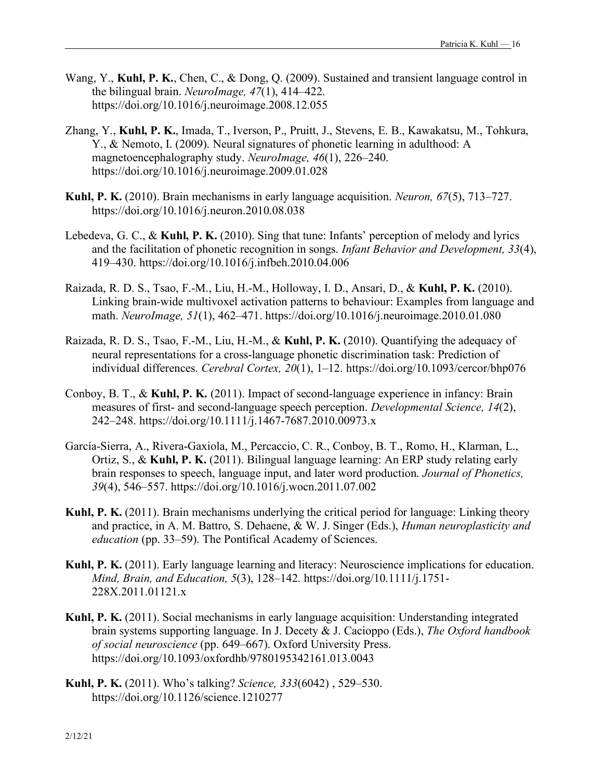- Wang, Y., **Kuhl, P. K.**, Chen, C., & Dong, Q. (2009). Sustained and transient language control in the bilingual brain. *NeuroImage, 47*(1), 414–422. https://doi.org/10.1016/j.neuroimage.2008.12.055
- Zhang, Y., **Kuhl, P. K.**, Imada, T., Iverson, P., Pruitt, J., Stevens, E. B., Kawakatsu, M., Tohkura, Y., & Nemoto, I. (2009). Neural signatures of phonetic learning in adulthood: A magnetoencephalography study. *NeuroImage, 46*(1), 226–240. https://doi.org/10.1016/j.neuroimage.2009.01.028
- **Kuhl, P. K.** (2010). Brain mechanisms in early language acquisition. *Neuron, 67*(5), 713–727. https://doi.org/10.1016/j.neuron.2010.08.038
- Lebedeva, G. C., & **Kuhl, P. K.** (2010). Sing that tune: Infants' perception of melody and lyrics and the facilitation of phonetic recognition in songs. *Infant Behavior and Development, 33*(4), 419–430. https://doi.org/10.1016/j.infbeh.2010.04.006
- Raizada, R. D. S., Tsao, F.-M., Liu, H.-M., Holloway, I. D., Ansari, D., & **Kuhl, P. K.** (2010). Linking brain-wide multivoxel activation patterns to behaviour: Examples from language and math. *NeuroImage, 51*(1), 462–471. https://doi.org/10.1016/j.neuroimage.2010.01.080
- Raizada, R. D. S., Tsao, F.-M., Liu, H.-M., & **Kuhl, P. K.** (2010). Quantifying the adequacy of neural representations for a cross-language phonetic discrimination task: Prediction of individual differences. *Cerebral Cortex, 20*(1), 1–12. https://doi.org/10.1093/cercor/bhp076
- Conboy, B. T., & **Kuhl, P. K.** (2011). Impact of second-language experience in infancy: Brain measures of first- and second-language speech perception. *Developmental Science, 14*(2), 242–248. https://doi.org/10.1111/j.1467-7687.2010.00973.x
- García-Sierra, A., Rivera-Gaxiola, M., Percaccio, C. R., Conboy, B. T., Romo, H., Klarman, L., Ortiz, S., & **Kuhl, P. K.** (2011). Bilingual language learning: An ERP study relating early brain responses to speech, language input, and later word production. *Journal of Phonetics, 39*(4), 546–557. https://doi.org/10.1016/j.wocn.2011.07.002
- **Kuhl, P. K.** (2011). Brain mechanisms underlying the critical period for language: Linking theory and practice, in A. M. Battro, S. Dehaene, & W. J. Singer (Eds.), *Human neuroplasticity and education* (pp. 33–59). The Pontifical Academy of Sciences.
- **Kuhl, P. K.** (2011). Early language learning and literacy: Neuroscience implications for education. *Mind, Brain, and Education, 5*(3), 128–142. https://doi.org/10.1111/j.1751- 228X.2011.01121.x
- **Kuhl, P. K.** (2011). Social mechanisms in early language acquisition: Understanding integrated brain systems supporting language. In J. Decety & J. Cacioppo (Eds.), *The Oxford handbook of social neuroscience* (pp. 649–667). Oxford University Press. https://doi.org/10.1093/oxfordhb/9780195342161.013.0043
- **Kuhl, P. K.** (2011). Who's talking? *Science, 333*(6042) , 529–530. https://doi.org/10.1126/science.1210277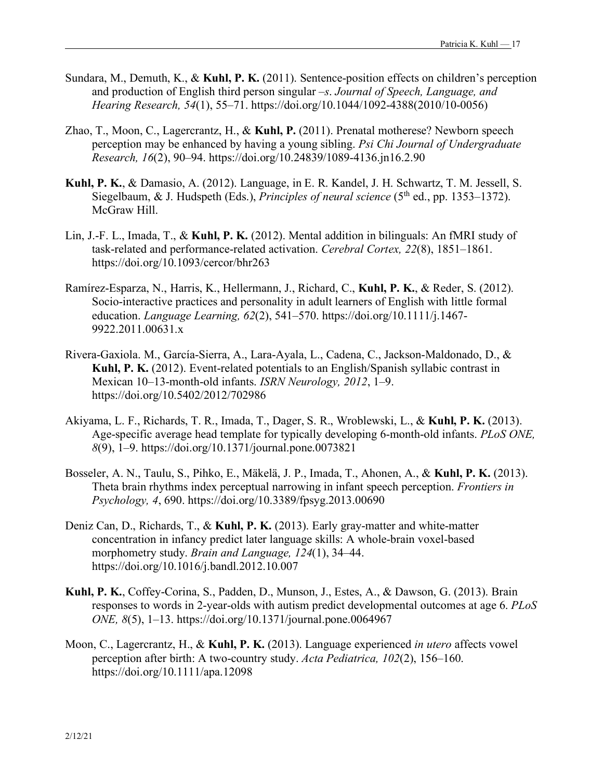- Sundara, M., Demuth, K., & **Kuhl, P. K.** (2011). Sentence-position effects on children's perception and production of English third person singular *–s*. *Journal of Speech, Language, and Hearing Research, 54*(1), 55–71. https://doi.org/10.1044/1092-4388(2010/10-0056)
- Zhao, T., Moon, C., Lagercrantz, H., & **Kuhl, P.** (2011). Prenatal motherese? Newborn speech perception may be enhanced by having a young sibling. *Psi Chi Journal of Undergraduate Research, 16*(2), 90–94. https://doi.org/10.24839/1089-4136.jn16.2.90
- **Kuhl, P. K.**, & Damasio, A. (2012). Language, in E. R. Kandel, J. H. Schwartz, T. M. Jessell, S. Siegelbaum, & J. Hudspeth (Eds.), *Principles of neural science* (5<sup>th</sup> ed., pp. 1353–1372). McGraw Hill.
- Lin, J.-F. L., Imada, T., & **Kuhl, P. K.** (2012). Mental addition in bilinguals: An fMRI study of task-related and performance-related activation. *Cerebral Cortex, 22*(8), 1851–1861. https://doi.org/10.1093/cercor/bhr263
- Ramírez-Esparza, N., Harris, K., Hellermann, J., Richard, C., **Kuhl, P. K.**, & Reder, S. (2012). Socio-interactive practices and personality in adult learners of English with little formal education. *Language Learning, 62*(2), 541–570. https://doi.org/10.1111/j.1467- 9922.2011.00631.x
- Rivera-Gaxiola. M., García-Sierra, A., Lara-Ayala, L., Cadena, C., Jackson-Maldonado, D., & **Kuhl, P. K.** (2012). Event-related potentials to an English/Spanish syllabic contrast in Mexican 10–13-month-old infants. *ISRN Neurology, 2012*, 1–9. https://doi.org/10.5402/2012/702986
- Akiyama, L. F., Richards, T. R., Imada, T., Dager, S. R., Wroblewski, L., & **Kuhl, P. K.** (2013). Age-specific average head template for typically developing 6-month-old infants. *PLoS ONE, 8*(9), 1–9. https://doi.org/10.1371/journal.pone.0073821
- Bosseler, A. N., Taulu, S., Pihko, E., Mäkelä, J. P., Imada, T., Ahonen, A., & **Kuhl, P. K.** (2013). Theta brain rhythms index perceptual narrowing in infant speech perception. *Frontiers in Psychology, 4*, 690. https://doi.org/10.3389/fpsyg.2013.00690
- Deniz Can, D., Richards, T., & **Kuhl, P. K.** (2013). Early gray-matter and white-matter concentration in infancy predict later language skills: A whole-brain voxel-based morphometry study. *Brain and Language, 124*(1), 34–44. https://doi.org/10.1016/j.bandl.2012.10.007
- **Kuhl, P. K.**, Coffey-Corina, S., Padden, D., Munson, J., Estes, A., & Dawson, G. (2013). Brain responses to words in 2-year-olds with autism predict developmental outcomes at age 6. *PLoS ONE, 8*(5), 1–13. https://doi.org/10.1371/journal.pone.0064967
- Moon, C., Lagercrantz, H., & **Kuhl, P. K.** (2013). Language experienced *in utero* affects vowel perception after birth: A two-country study. *Acta Pediatrica, 102*(2), 156–160. https://doi.org/10.1111/apa.12098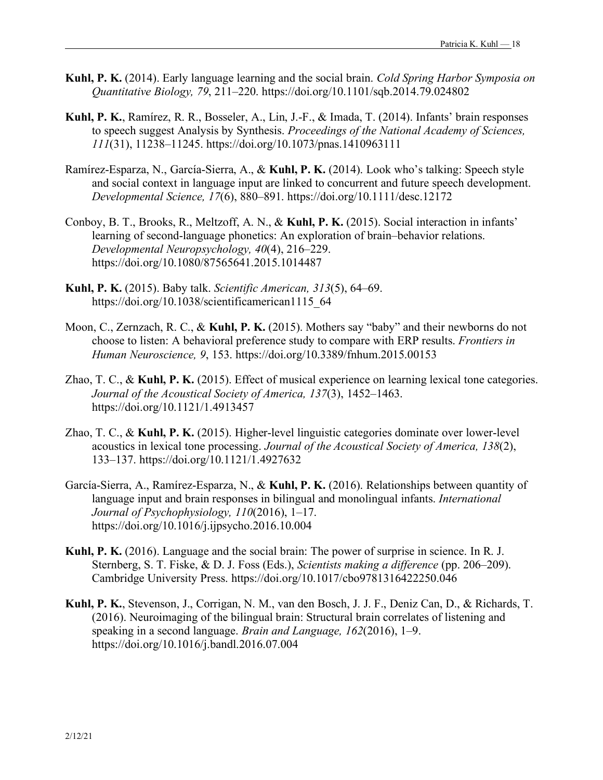- **Kuhl, P. K.** (2014). Early language learning and the social brain. *Cold Spring Harbor Symposia on Quantitative Biology, 79*, 211–220. https://doi.org/10.1101/sqb.2014.79.024802
- **Kuhl, P. K.**, Ramírez, R. R., Bosseler, A., Lin, J.-F., & Imada, T. (2014). Infants' brain responses to speech suggest Analysis by Synthesis. *Proceedings of the National Academy of Sciences, 111*(31), 11238–11245. https://doi.org/10.1073/pnas.1410963111
- Ramírez-Esparza, N., García-Sierra, A., & **Kuhl, P. K.** (2014). Look who's talking: Speech style and social context in language input are linked to concurrent and future speech development. *Developmental Science, 17*(6), 880–891. https://doi.org/10.1111/desc.12172
- Conboy, B. T., Brooks, R., Meltzoff, A. N., & **Kuhl, P. K.** (2015). Social interaction in infants' learning of second-language phonetics: An exploration of brain–behavior relations. *Developmental Neuropsychology, 40*(4), 216–229. https://doi.org/10.1080/87565641.2015.1014487
- **Kuhl, P. K.** (2015). Baby talk. *Scientific American, 313*(5), 64–69. https://doi.org/10.1038/scientificamerican1115\_64
- Moon, C., Zernzach, R. C., & **Kuhl, P. K.** (2015). Mothers say "baby" and their newborns do not choose to listen: A behavioral preference study to compare with ERP results. *Frontiers in Human Neuroscience, 9*, 153. https://doi.org/10.3389/fnhum.2015.00153
- Zhao, T. C., & **Kuhl, P. K.** (2015). Effect of musical experience on learning lexical tone categories. *Journal of the Acoustical Society of America, 137*(3), 1452–1463. https://doi.org/10.1121/1.4913457
- Zhao, T. C., & **Kuhl, P. K.** (2015). Higher-level linguistic categories dominate over lower-level acoustics in lexical tone processing. *Journal of the Acoustical Society of America, 138*(2), 133–137. https://doi.org/10.1121/1.4927632
- García-Sierra, A., Ramírez-Esparza, N., & **Kuhl, P. K.** (2016). Relationships between quantity of language input and brain responses in bilingual and monolingual infants. *International Journal of Psychophysiology, 110*(2016), 1–17. https://doi.org/10.1016/j.ijpsycho.2016.10.004
- **Kuhl, P. K.** (2016). Language and the social brain: The power of surprise in science. In R. J. Sternberg, S. T. Fiske, & D. J. Foss (Eds.), *Scientists making a difference* (pp. 206–209). Cambridge University Press. https://doi.org/10.1017/cbo9781316422250.046
- **Kuhl, P. K.**, Stevenson, J., Corrigan, N. M., van den Bosch, J. J. F., Deniz Can, D., & Richards, T. (2016). Neuroimaging of the bilingual brain: Structural brain correlates of listening and speaking in a second language. *Brain and Language, 162*(2016), 1–9. https://doi.org/10.1016/j.bandl.2016.07.004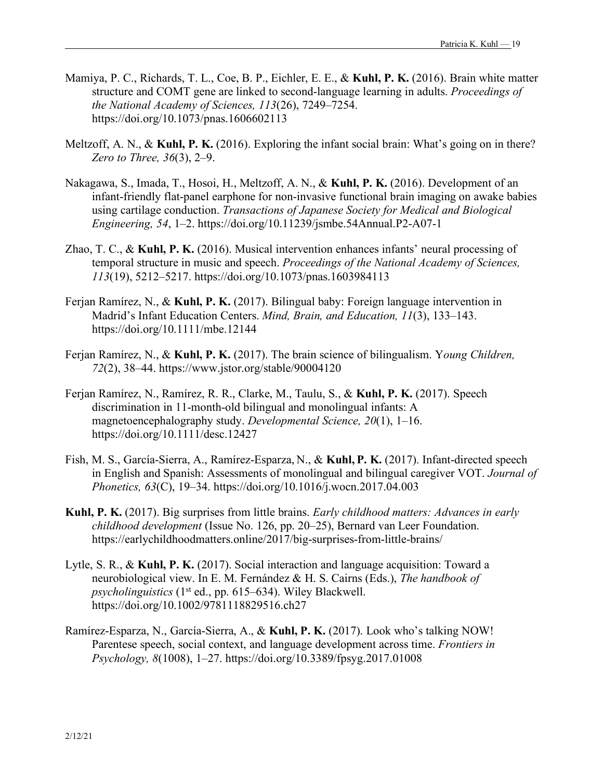- Mamiya, P. C., Richards, T. L., Coe, B. P., Eichler, E. E., & **Kuhl, P. K.** (2016). Brain white matter structure and COMT gene are linked to second-language learning in adults. *Proceedings of the National Academy of Sciences, 113*(26), 7249–7254. https://doi.org/10.1073/pnas.1606602113
- Meltzoff, A. N., & **Kuhl, P. K.** (2016). Exploring the infant social brain: What's going on in there? *Zero to Three, 36*(3), 2–9.
- Nakagawa, S., Imada, T., Hosoi, H., Meltzoff, A. N., & **Kuhl, P. K.** (2016). Development of an infant-friendly flat-panel earphone for non-invasive functional brain imaging on awake babies using cartilage conduction. *Transactions of Japanese Society for Medical and Biological Engineering, 54*, 1–2. https://doi.org/10.11239/jsmbe.54Annual.P2-A07-1
- Zhao, T. C., & **Kuhl, P. K.** (2016). Musical intervention enhances infants' neural processing of temporal structure in music and speech. *Proceedings of the National Academy of Sciences, 113*(19), 5212–5217. https://doi.org/10.1073/pnas.1603984113
- Ferjan Ramírez, N., & **Kuhl, P. K.** (2017). Bilingual baby: Foreign language intervention in Madrid's Infant Education Centers. *Mind, Brain, and Education, 11*(3), 133–143. https://doi.org/10.1111/mbe.12144
- Ferjan Ramírez, N., & **Kuhl, P. K.** (2017). The brain science of bilingualism. Y*oung Children, 72*(2), 38–44. https://www.jstor.org/stable/90004120
- Ferjan Ramírez, N., Ramírez, R. R., Clarke, M., Taulu, S., & **Kuhl, P. K.** (2017). Speech discrimination in 11-month-old bilingual and monolingual infants: A magnetoencephalography study. *Developmental Science, 20*(1), 1–16. https://doi.org/10.1111/desc.12427
- Fish, M. S., García-Sierra, A., Ramírez-Esparza, N., & **Kuhl, P. K.** (2017). Infant-directed speech in English and Spanish: Assessments of monolingual and bilingual caregiver VOT. *Journal of Phonetics, 63*(C), 19–34. https://doi.org/10.1016/j.wocn.2017.04.003
- **Kuhl, P. K.** (2017). Big surprises from little brains. *Early childhood matters: Advances in early childhood development* (Issue No. 126, pp. 20–25), Bernard van Leer Foundation. https://earlychildhoodmatters.online/2017/big-surprises-from-little-brains/
- Lytle, S. R., & **Kuhl, P. K.** (2017). Social interaction and language acquisition: Toward a neurobiological view. In E. M. Fernández & H. S. Cairns (Eds.), *The handbook of psycholinguistics* (1st ed., pp. 615–634). Wiley Blackwell. https://doi.org/10.1002/9781118829516.ch27
- Ramírez-Esparza, N., García-Sierra, A., & **Kuhl, P. K.** (2017). Look who's talking NOW! Parentese speech, social context, and language development across time. *Frontiers in Psychology, 8*(1008), 1–27. https://doi.org/10.3389/fpsyg.2017.01008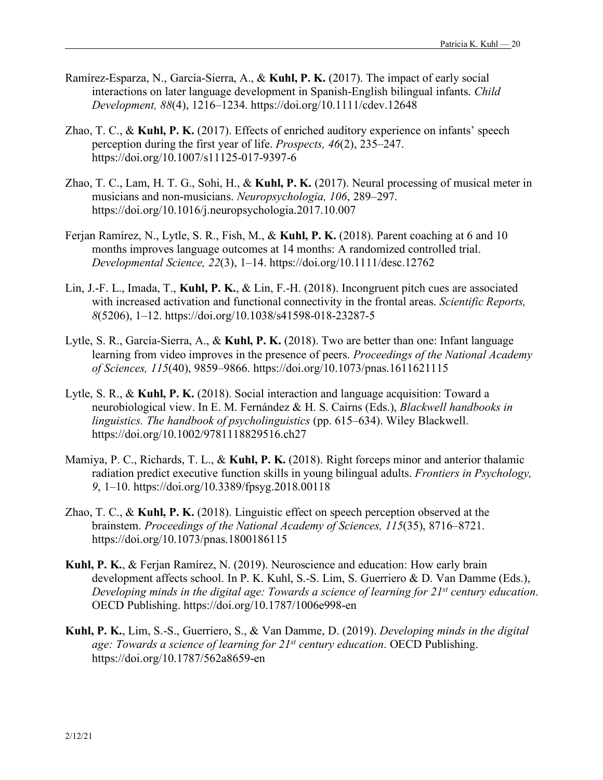- Ramírez-Esparza, N., García-Sierra, A., & **Kuhl, P. K.** (2017). The impact of early social interactions on later language development in Spanish-English bilingual infants. *Child Development, 88*(4), 1216–1234. https://doi.org/10.1111/cdev.12648
- Zhao, T. C., & **Kuhl, P. K.** (2017). Effects of enriched auditory experience on infants' speech perception during the first year of life. *Prospects, 46*(2), 235–247. https://doi.org/10.1007/s11125-017-9397-6
- Zhao, T. C., Lam, H. T. G., Sohi, H., & **Kuhl, P. K.** (2017). Neural processing of musical meter in musicians and non-musicians. *Neuropsychologia, 106*, 289–297. https://doi.org/10.1016/j.neuropsychologia.2017.10.007
- Ferjan Ramírez, N., Lytle, S. R., Fish, M., & **Kuhl, P. K.** (2018). Parent coaching at 6 and 10 months improves language outcomes at 14 months: A randomized controlled trial. *Developmental Science, 22*(3), 1–14. https://doi.org/10.1111/desc.12762
- Lin, J.-F. L., Imada, T., **Kuhl, P. K.**, & Lin, F.-H. (2018). Incongruent pitch cues are associated with increased activation and functional connectivity in the frontal areas. *Scientific Reports, 8*(5206), 1–12. https://doi.org/10.1038/s41598-018-23287-5
- Lytle, S. R., García-Sierra, A., & **Kuhl, P. K.** (2018). Two are better than one: Infant language learning from video improves in the presence of peers. *Proceedings of the National Academy of Sciences, 115*(40), 9859–9866. https://doi.org/10.1073/pnas.1611621115
- Lytle, S. R., & **Kuhl, P. K.** (2018). Social interaction and language acquisition: Toward a neurobiological view. In E. M. Fernández & H. S. Cairns (Eds.), *Blackwell handbooks in linguistics. The handbook of psycholinguistics* (pp. 615–634). Wiley Blackwell. https://doi.org/10.1002/9781118829516.ch27
- Mamiya, P. C., Richards, T. L., & **Kuhl, P. K.** (2018). Right forceps minor and anterior thalamic radiation predict executive function skills in young bilingual adults. *Frontiers in Psychology, 9*, 1–10. https://doi.org/10.3389/fpsyg.2018.00118
- Zhao, T. C., & **Kuhl, P. K.** (2018). Linguistic effect on speech perception observed at the brainstem. *Proceedings of the National Academy of Sciences, 115*(35), 8716–8721. https://doi.org/10.1073/pnas.1800186115
- **Kuhl, P. K.**, & Ferjan Ramírez, N. (2019). Neuroscience and education: How early brain development affects school. In P. K. Kuhl, S.-S. Lim, S. Guerriero & D. Van Damme (Eds.), *Developing minds in the digital age: Towards a science of learning for 21st century education*. OECD Publishing. https://doi.org/10.1787/1006e998-en
- **Kuhl, P. K.**, Lim, S.-S., Guerriero, S., & Van Damme, D. (2019). *Developing minds in the digital age: Towards a science of learning for 21st century education*. OECD Publishing. https://doi.org/10.1787/562a8659-en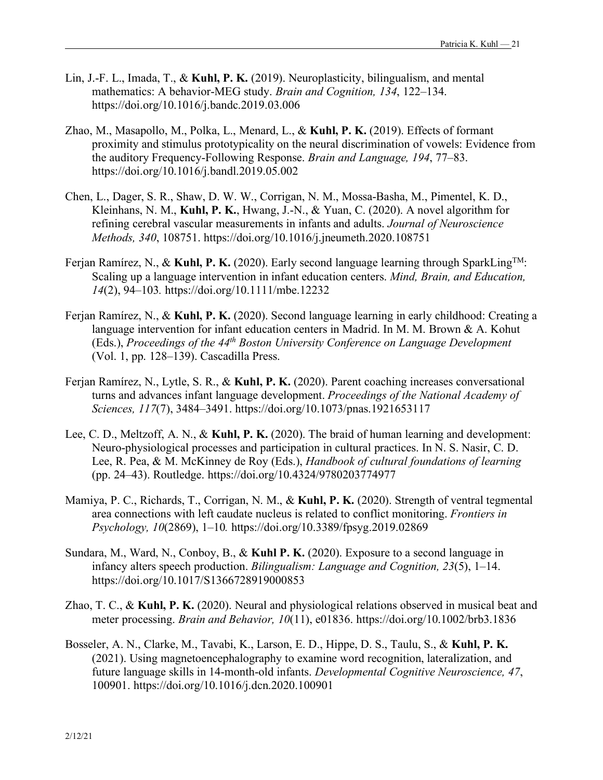- Lin, J.-F. L., Imada, T., & **Kuhl, P. K.** (2019). Neuroplasticity, bilingualism, and mental mathematics: A behavior-MEG study. *Brain and Cognition, 134*, 122–134. https://doi.org/10.1016/j.bandc.2019.03.006
- Zhao, M., Masapollo, M., Polka, L., Menard, L., & **Kuhl, P. K.** (2019). Effects of formant proximity and stimulus prototypicality on the neural discrimination of vowels: Evidence from the auditory Frequency-Following Response. *Brain and Language, 194*, 77–83. https://doi.org/10.1016/j.bandl.2019.05.002
- Chen, L., Dager, S. R., Shaw, D. W. W., Corrigan, N. M., Mossa-Basha, M., Pimentel, K. D., Kleinhans, N. M., **Kuhl, P. K.**, Hwang, J.-N., & Yuan, C. (2020). A novel algorithm for refining cerebral vascular measurements in infants and adults. *Journal of Neuroscience Methods, 340*, 108751. https://doi.org/10.1016/j.jneumeth.2020.108751
- Ferjan Ramírez, N., & **Kuhl, P. K.** (2020). Early second language learning through SparkLingTM: Scaling up a language intervention in infant education centers. *Mind, Brain, and Education, 14*(2), 94–103*.* https://doi.org/10.1111/mbe.12232
- Ferjan Ramírez, N., & **Kuhl, P. K.** (2020). Second language learning in early childhood: Creating a language intervention for infant education centers in Madrid. In M. M. Brown & A. Kohut (Eds.), *Proceedings of the 44th Boston University Conference on Language Development* (Vol. 1, pp. 128–139). Cascadilla Press.
- Ferjan Ramírez, N., Lytle, S. R., & **Kuhl, P. K.** (2020). Parent coaching increases conversational turns and advances infant language development. *Proceedings of the National Academy of Sciences, 117*(7), 3484–3491. https://doi.org/10.1073/pnas.1921653117
- Lee, C. D., Meltzoff, A. N., & **Kuhl, P. K.** (2020). The braid of human learning and development: Neuro-physiological processes and participation in cultural practices. In N. S. Nasir, C. D. Lee, R. Pea, & M. McKinney de Roy (Eds.), *Handbook of cultural foundations of learning* (pp. 24–43). Routledge. https://doi.org/10.4324/9780203774977
- Mamiya, P. C., Richards, T., Corrigan, N. M., & **Kuhl, P. K.** (2020). Strength of ventral tegmental area connections with left caudate nucleus is related to conflict monitoring. *Frontiers in Psychology, 10*(2869), 1–10*.* https://doi.org/10.3389/fpsyg.2019.02869
- Sundara, M., Ward, N., Conboy, B., & **Kuhl P. K.** (2020). Exposure to a second language in infancy alters speech production. *Bilingualism: Language and Cognition, 23*(5), 1–14. https://doi.org/10.1017/S1366728919000853
- Zhao, T. C., & **Kuhl, P. K.** (2020). Neural and physiological relations observed in musical beat and meter processing. *Brain and Behavior, 10*(11), e01836. https://doi.org/10.1002/brb3.1836
- Bosseler, A. N., Clarke, M., Tavabi, K., Larson, E. D., Hippe, D. S., Taulu, S., & **Kuhl, P. K.**  (2021). Using magnetoencephalography to examine word recognition, lateralization, and future language skills in 14-month-old infants. *Developmental Cognitive Neuroscience, 47*, 100901. https://doi.org/10.1016/j.dcn.2020.100901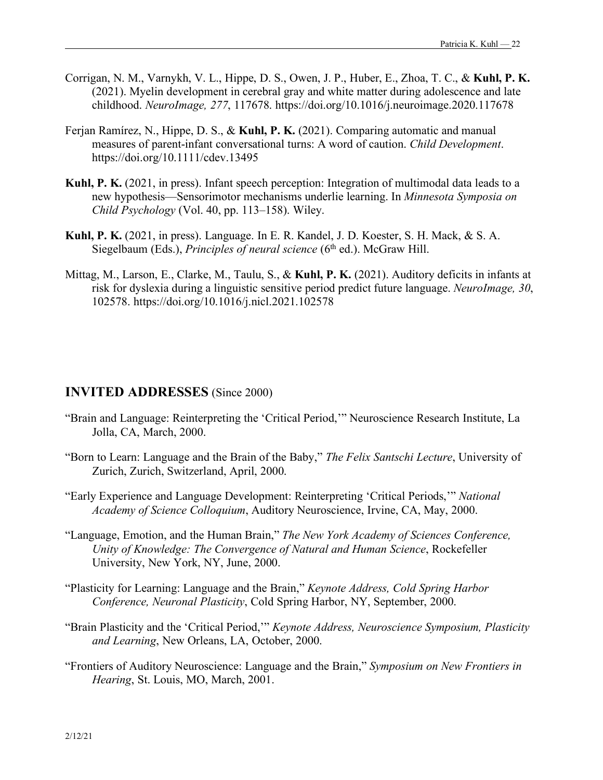- Corrigan, N. M., Varnykh, V. L., Hippe, D. S., Owen, J. P., Huber, E., Zhoa, T. C., & **Kuhl, P. K.** (2021). Myelin development in cerebral gray and white matter during adolescence and late childhood. *NeuroImage, 277*, 117678. https://doi.org/10.1016/j.neuroimage.2020.117678
- Ferjan Ramírez, N., Hippe, D. S., & **Kuhl, P. K.** (2021). Comparing automatic and manual measures of parent-infant conversational turns: A word of caution. *Child Development*. https://doi.org/10.1111/cdev.13495
- **Kuhl, P. K.** (2021, in press). Infant speech perception: Integration of multimodal data leads to a new hypothesis—Sensorimotor mechanisms underlie learning. In *Minnesota Symposia on Child Psychology* (Vol. 40, pp. 113–158). Wiley.
- **Kuhl, P. K.** (2021, in press). Language. In E. R. Kandel, J. D. Koester, S. H. Mack, & S. A. Siegelbaum (Eds.), *Principles of neural science* (6<sup>th</sup> ed.). McGraw Hill.
- Mittag, M., Larson, E., Clarke, M., Taulu, S., & **Kuhl, P. K.** (2021). Auditory deficits in infants at risk for dyslexia during a linguistic sensitive period predict future language. *NeuroImage, 30*, 102578. https://doi.org/10.1016/j.nicl.2021.102578

### **INVITED ADDRESSES** (Since 2000)

- "Brain and Language: Reinterpreting the 'Critical Period,'" Neuroscience Research Institute, La Jolla, CA, March, 2000.
- "Born to Learn: Language and the Brain of the Baby," *The Felix Santschi Lecture*, University of Zurich, Zurich, Switzerland, April, 2000.
- "Early Experience and Language Development: Reinterpreting 'Critical Periods,'" *National Academy of Science Colloquium*, Auditory Neuroscience, Irvine, CA, May, 2000.
- "Language, Emotion, and the Human Brain," *The New York Academy of Sciences Conference, Unity of Knowledge: The Convergence of Natural and Human Science*, Rockefeller University, New York, NY, June, 2000.
- "Plasticity for Learning: Language and the Brain," *Keynote Address, Cold Spring Harbor Conference, Neuronal Plasticity*, Cold Spring Harbor, NY, September, 2000.
- "Brain Plasticity and the 'Critical Period,'" *Keynote Address, Neuroscience Symposium, Plasticity and Learning*, New Orleans, LA, October, 2000.
- "Frontiers of Auditory Neuroscience: Language and the Brain," *Symposium on New Frontiers in Hearing*, St. Louis, MO, March, 2001.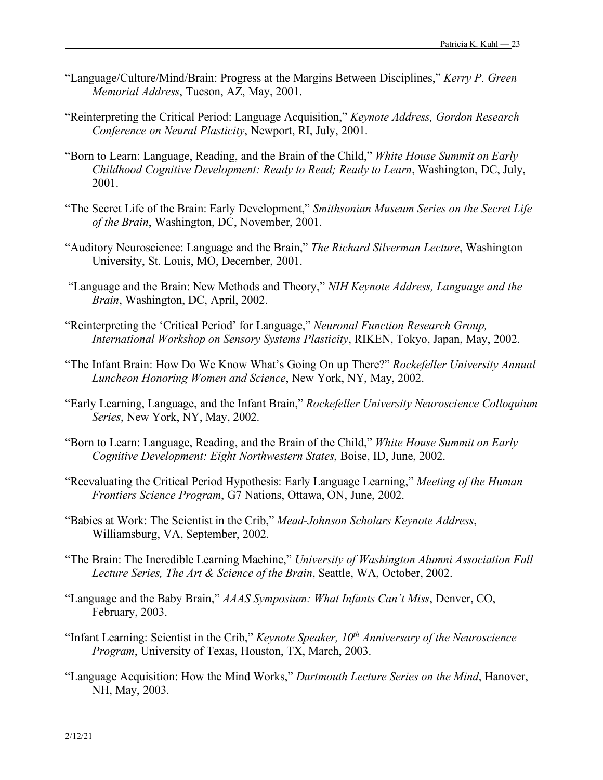- "Language/Culture/Mind/Brain: Progress at the Margins Between Disciplines," *Kerry P. Green Memorial Address*, Tucson, AZ, May, 2001.
- "Reinterpreting the Critical Period: Language Acquisition," *Keynote Address, Gordon Research Conference on Neural Plasticity*, Newport, RI, July, 2001.
- "Born to Learn: Language, Reading, and the Brain of the Child," *White House Summit on Early Childhood Cognitive Development: Ready to Read; Ready to Learn*, Washington, DC, July, 2001.
- "The Secret Life of the Brain: Early Development," *Smithsonian Museum Series on the Secret Life of the Brain*, Washington, DC, November, 2001.
- "Auditory Neuroscience: Language and the Brain," *The Richard Silverman Lecture*, Washington University, St. Louis, MO, December, 2001.
- "Language and the Brain: New Methods and Theory," *NIH Keynote Address, Language and the Brain*, Washington, DC, April, 2002.
- "Reinterpreting the 'Critical Period' for Language," *Neuronal Function Research Group, International Workshop on Sensory Systems Plasticity*, RIKEN, Tokyo, Japan, May, 2002.
- "The Infant Brain: How Do We Know What's Going On up There?" *Rockefeller University Annual Luncheon Honoring Women and Science*, New York, NY, May, 2002.
- "Early Learning, Language, and the Infant Brain," *Rockefeller University Neuroscience Colloquium Series*, New York, NY, May, 2002.
- "Born to Learn: Language, Reading, and the Brain of the Child," *White House Summit on Early Cognitive Development: Eight Northwestern States*, Boise, ID, June, 2002.
- "Reevaluating the Critical Period Hypothesis: Early Language Learning," *Meeting of the Human Frontiers Science Program*, G7 Nations, Ottawa, ON, June, 2002.
- "Babies at Work: The Scientist in the Crib," *Mead-Johnson Scholars Keynote Address*, Williamsburg, VA, September, 2002.
- "The Brain: The Incredible Learning Machine," *University of Washington Alumni Association Fall Lecture Series, The Art & Science of the Brain*, Seattle, WA, October, 2002.
- "Language and the Baby Brain," *AAAS Symposium: What Infants Can't Miss*, Denver, CO, February, 2003.
- "Infant Learning: Scientist in the Crib," *Keynote Speaker, 10<sup>th</sup> Anniversary of the Neuroscience Program*, University of Texas, Houston, TX, March, 2003.
- "Language Acquisition: How the Mind Works," *Dartmouth Lecture Series on the Mind*, Hanover, NH, May, 2003.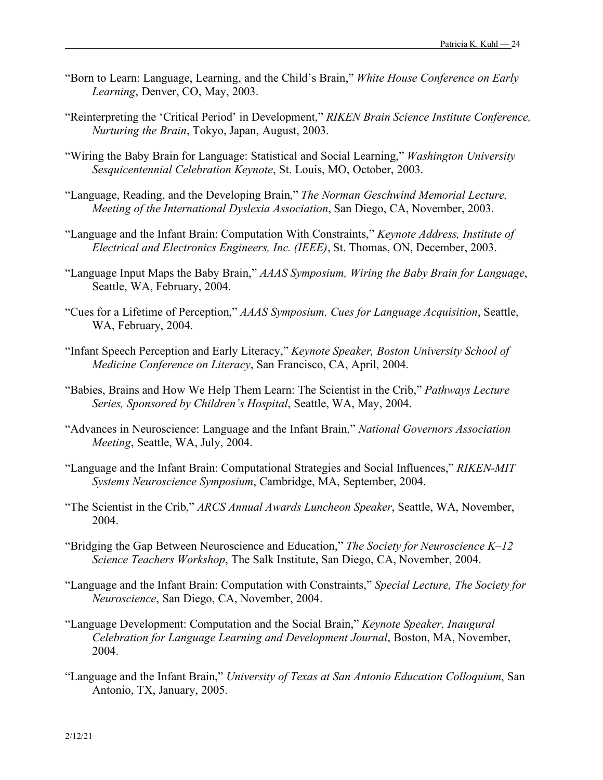- "Born to Learn: Language, Learning, and the Child's Brain," *White House Conference on Early Learning*, Denver, CO, May, 2003.
- "Reinterpreting the 'Critical Period' in Development," *RIKEN Brain Science Institute Conference, Nurturing the Brain*, Tokyo, Japan, August, 2003.
- "Wiring the Baby Brain for Language: Statistical and Social Learning," *Washington University Sesquicentennial Celebration Keynote*, St. Louis, MO, October, 2003.
- "Language, Reading, and the Developing Brain," *The Norman Geschwind Memorial Lecture, Meeting of the International Dyslexia Association*, San Diego, CA, November, 2003.
- "Language and the Infant Brain: Computation With Constraints," *Keynote Address, Institute of Electrical and Electronics Engineers, Inc. (IEEE)*, St. Thomas, ON, December, 2003.
- "Language Input Maps the Baby Brain," *AAAS Symposium, Wiring the Baby Brain for Language*, Seattle, WA, February, 2004.
- "Cues for a Lifetime of Perception," *AAAS Symposium, Cues for Language Acquisition*, Seattle, WA, February, 2004.
- "Infant Speech Perception and Early Literacy," *Keynote Speaker, Boston University School of Medicine Conference on Literacy*, San Francisco, CA, April, 2004.
- "Babies, Brains and How We Help Them Learn: The Scientist in the Crib," *Pathways Lecture Series, Sponsored by Children's Hospital*, Seattle, WA, May, 2004.
- "Advances in Neuroscience: Language and the Infant Brain," *National Governors Association Meeting*, Seattle, WA, July, 2004.
- "Language and the Infant Brain: Computational Strategies and Social Influences," *RIKEN-MIT Systems Neuroscience Symposium*, Cambridge, MA, September, 2004.
- "The Scientist in the Crib," *ARCS Annual Awards Luncheon Speaker*, Seattle, WA, November, 2004.
- "Bridging the Gap Between Neuroscience and Education," *The Society for Neuroscience K–12 Science Teachers Workshop*, The Salk Institute, San Diego, CA, November, 2004.
- "Language and the Infant Brain: Computation with Constraints," *Special Lecture, The Society for Neuroscience*, San Diego, CA, November, 2004.
- "Language Development: Computation and the Social Brain," *Keynote Speaker, Inaugural Celebration for Language Learning and Development Journal*, Boston, MA, November, 2004.
- "Language and the Infant Brain," *University of Texas at San Antonio Education Colloquium*, San Antonio, TX, January, 2005.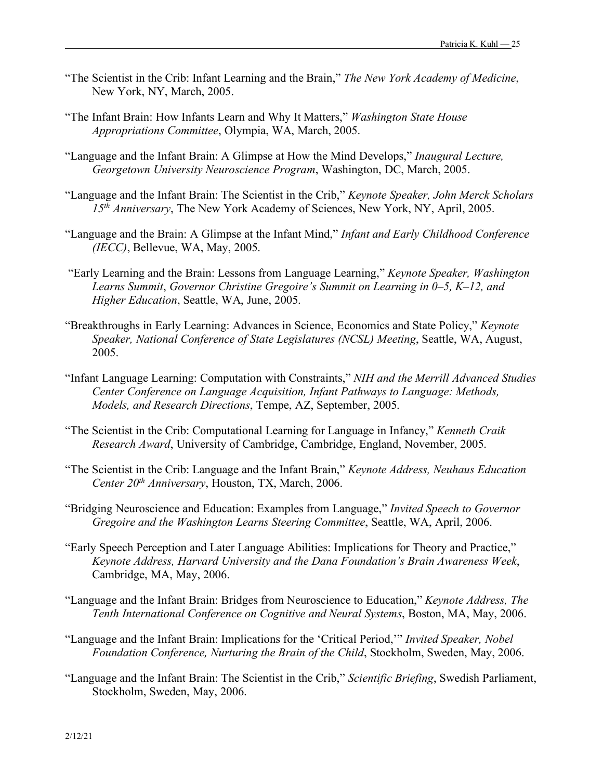- "The Scientist in the Crib: Infant Learning and the Brain," *The New York Academy of Medicine*, New York, NY, March, 2005.
- "The Infant Brain: How Infants Learn and Why It Matters," *Washington State House Appropriations Committee*, Olympia, WA, March, 2005.
- "Language and the Infant Brain: A Glimpse at How the Mind Develops," *Inaugural Lecture, Georgetown University Neuroscience Program*, Washington, DC, March, 2005.
- "Language and the Infant Brain: The Scientist in the Crib," *Keynote Speaker, John Merck Scholars 15th Anniversary*, The New York Academy of Sciences, New York, NY, April, 2005.
- "Language and the Brain: A Glimpse at the Infant Mind," *Infant and Early Childhood Conference (IECC)*, Bellevue, WA, May, 2005.
- "Early Learning and the Brain: Lessons from Language Learning," *Keynote Speaker, Washington Learns Summit*, *Governor Christine Gregoire's Summit on Learning in 0–5, K–12, and Higher Education*, Seattle, WA, June, 2005.
- "Breakthroughs in Early Learning: Advances in Science, Economics and State Policy," *Keynote Speaker, National Conference of State Legislatures (NCSL) Meeting*, Seattle, WA, August, 2005.
- "Infant Language Learning: Computation with Constraints," *NIH and the Merrill Advanced Studies Center Conference on Language Acquisition, Infant Pathways to Language: Methods, Models, and Research Directions*, Tempe, AZ, September, 2005.
- "The Scientist in the Crib: Computational Learning for Language in Infancy," *Kenneth Craik Research Award*, University of Cambridge, Cambridge, England, November, 2005.
- "The Scientist in the Crib: Language and the Infant Brain," *Keynote Address, Neuhaus Education Center 20th Anniversary*, Houston, TX, March, 2006.
- "Bridging Neuroscience and Education: Examples from Language," *Invited Speech to Governor Gregoire and the Washington Learns Steering Committee*, Seattle, WA, April, 2006.
- "Early Speech Perception and Later Language Abilities: Implications for Theory and Practice," *Keynote Address, Harvard University and the Dana Foundation's Brain Awareness Week*, Cambridge, MA, May, 2006.
- "Language and the Infant Brain: Bridges from Neuroscience to Education," *Keynote Address, The Tenth International Conference on Cognitive and Neural Systems*, Boston, MA, May, 2006.
- "Language and the Infant Brain: Implications for the 'Critical Period,'" *Invited Speaker, Nobel Foundation Conference, Nurturing the Brain of the Child*, Stockholm, Sweden, May, 2006.
- "Language and the Infant Brain: The Scientist in the Crib," *Scientific Briefing*, Swedish Parliament, Stockholm, Sweden, May, 2006.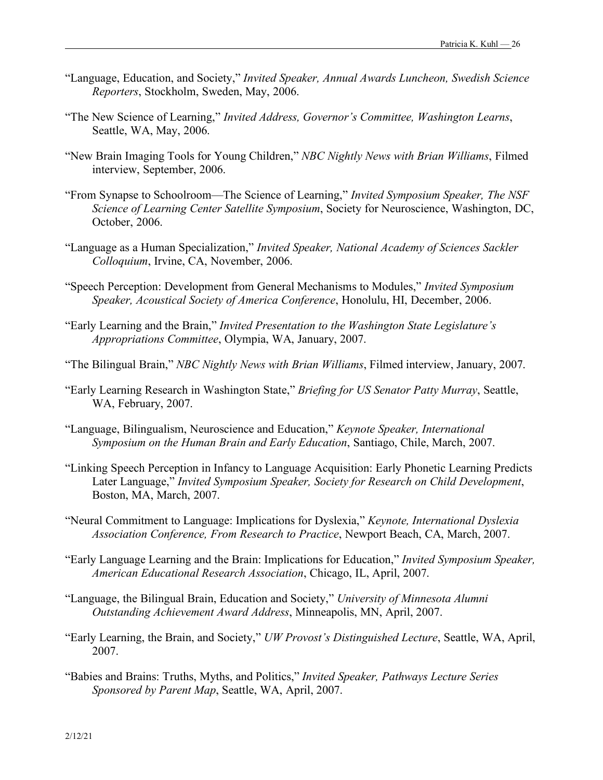- "Language, Education, and Society," *Invited Speaker, Annual Awards Luncheon, Swedish Science Reporters*, Stockholm, Sweden, May, 2006.
- "The New Science of Learning," *Invited Address, Governor's Committee, Washington Learns*, Seattle, WA, May, 2006.
- "New Brain Imaging Tools for Young Children," *NBC Nightly News with Brian Williams*, Filmed interview, September, 2006.
- "From Synapse to Schoolroom—The Science of Learning," *Invited Symposium Speaker, The NSF Science of Learning Center Satellite Symposium*, Society for Neuroscience, Washington, DC, October, 2006.
- "Language as a Human Specialization," *Invited Speaker, National Academy of Sciences Sackler Colloquium*, Irvine, CA, November, 2006.
- "Speech Perception: Development from General Mechanisms to Modules," *Invited Symposium Speaker, Acoustical Society of America Conference*, Honolulu, HI, December, 2006.
- "Early Learning and the Brain," *Invited Presentation to the Washington State Legislature's Appropriations Committee*, Olympia, WA, January, 2007.
- "The Bilingual Brain," *NBC Nightly News with Brian Williams*, Filmed interview, January, 2007.
- "Early Learning Research in Washington State," *Briefing for US Senator Patty Murray*, Seattle, WA, February, 2007.
- "Language, Bilingualism, Neuroscience and Education," *Keynote Speaker, International Symposium on the Human Brain and Early Education*, Santiago, Chile, March, 2007.
- "Linking Speech Perception in Infancy to Language Acquisition: Early Phonetic Learning Predicts Later Language," *Invited Symposium Speaker, Society for Research on Child Development*, Boston, MA, March, 2007.
- "Neural Commitment to Language: Implications for Dyslexia," *Keynote, International Dyslexia Association Conference, From Research to Practice*, Newport Beach, CA, March, 2007.
- "Early Language Learning and the Brain: Implications for Education," *Invited Symposium Speaker, American Educational Research Association*, Chicago, IL, April, 2007.
- "Language, the Bilingual Brain, Education and Society," *University of Minnesota Alumni Outstanding Achievement Award Address*, Minneapolis, MN, April, 2007.
- "Early Learning, the Brain, and Society," *UW Provost's Distinguished Lecture*, Seattle, WA, April, 2007.
- "Babies and Brains: Truths, Myths, and Politics," *Invited Speaker, Pathways Lecture Series Sponsored by Parent Map*, Seattle, WA, April, 2007.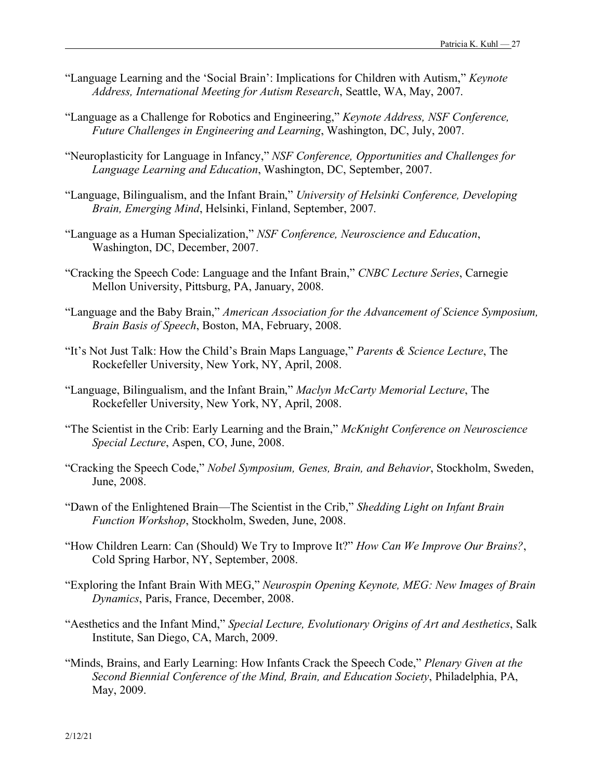- "Language Learning and the 'Social Brain': Implications for Children with Autism," *Keynote Address, International Meeting for Autism Research*, Seattle, WA, May, 2007.
- "Language as a Challenge for Robotics and Engineering," *Keynote Address, NSF Conference, Future Challenges in Engineering and Learning*, Washington, DC, July, 2007.
- "Neuroplasticity for Language in Infancy," *NSF Conference, Opportunities and Challenges for Language Learning and Education*, Washington, DC, September, 2007.
- "Language, Bilingualism, and the Infant Brain," *University of Helsinki Conference, Developing Brain, Emerging Mind*, Helsinki, Finland, September, 2007.
- "Language as a Human Specialization," *NSF Conference, Neuroscience and Education*, Washington, DC, December, 2007.
- "Cracking the Speech Code: Language and the Infant Brain," *CNBC Lecture Series*, Carnegie Mellon University, Pittsburg, PA, January, 2008.
- "Language and the Baby Brain," *American Association for the Advancement of Science Symposium, Brain Basis of Speech*, Boston, MA, February, 2008.
- "It's Not Just Talk: How the Child's Brain Maps Language," *Parents & Science Lecture*, The Rockefeller University, New York, NY, April, 2008.
- "Language, Bilingualism, and the Infant Brain," *Maclyn McCarty Memorial Lecture*, The Rockefeller University, New York, NY, April, 2008.
- "The Scientist in the Crib: Early Learning and the Brain," *McKnight Conference on Neuroscience Special Lecture*, Aspen, CO, June, 2008.
- "Cracking the Speech Code," *Nobel Symposium, Genes, Brain, and Behavior*, Stockholm, Sweden, June, 2008.
- "Dawn of the Enlightened Brain—The Scientist in the Crib," *Shedding Light on Infant Brain Function Workshop*, Stockholm, Sweden, June, 2008.
- "How Children Learn: Can (Should) We Try to Improve It?" *How Can We Improve Our Brains?*, Cold Spring Harbor, NY, September, 2008.
- "Exploring the Infant Brain With MEG," *Neurospin Opening Keynote, MEG: New Images of Brain Dynamics*, Paris, France, December, 2008.
- "Aesthetics and the Infant Mind," *Special Lecture, Evolutionary Origins of Art and Aesthetics*, Salk Institute, San Diego, CA, March, 2009.
- "Minds, Brains, and Early Learning: How Infants Crack the Speech Code," *Plenary Given at the Second Biennial Conference of the Mind, Brain, and Education Society*, Philadelphia, PA, May, 2009.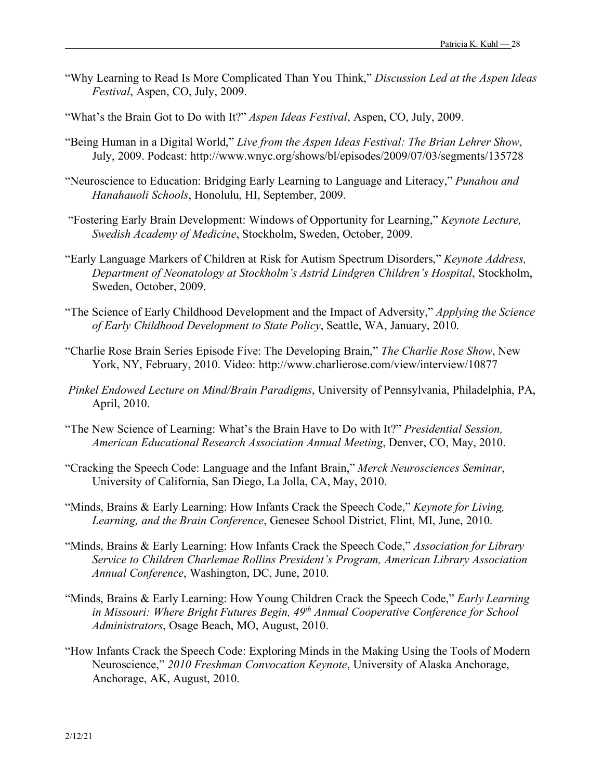- "Why Learning to Read Is More Complicated Than You Think," *Discussion Led at the Aspen Ideas Festival*, Aspen, CO, July, 2009.
- "What's the Brain Got to Do with It?" *Aspen Ideas Festival*, Aspen, CO, July, 2009.
- "Being Human in a Digital World," *Live from the Aspen Ideas Festival: The Brian Lehrer Show*, July, 2009. Podcast: http://www.wnyc.org/shows/bl/episodes/2009/07/03/segments/135728
- "Neuroscience to Education: Bridging Early Learning to Language and Literacy," *Punahou and Hanahauoli Schools*, Honolulu, HI, September, 2009.
- "Fostering Early Brain Development: Windows of Opportunity for Learning," *Keynote Lecture, Swedish Academy of Medicine*, Stockholm, Sweden, October, 2009.
- "Early Language Markers of Children at Risk for Autism Spectrum Disorders," *Keynote Address, Department of Neonatology at Stockholm's Astrid Lindgren Children's Hospital*, Stockholm, Sweden, October, 2009.
- "The Science of Early Childhood Development and the Impact of Adversity," *Applying the Science of Early Childhood Development to State Policy*, Seattle, WA, January, 2010.
- "Charlie Rose Brain Series Episode Five: The Developing Brain," *The Charlie Rose Show*, New York, NY, February, 2010. Video: http://www.charlierose.com/view/interview/10877
- *Pinkel Endowed Lecture on Mind/Brain Paradigms*, University of Pennsylvania, Philadelphia, PA, April, 2010.
- "The New Science of Learning: What's the Brain Have to Do with It?" *Presidential Session, American Educational Research Association Annual Meeting*, Denver, CO, May, 2010.
- "Cracking the Speech Code: Language and the Infant Brain," *Merck Neurosciences Seminar*, University of California, San Diego, La Jolla, CA, May, 2010.
- "Minds, Brains & Early Learning: How Infants Crack the Speech Code," *Keynote for Living, Learning, and the Brain Conference*, Genesee School District, Flint, MI, June, 2010.
- "Minds, Brains & Early Learning: How Infants Crack the Speech Code," *Association for Library Service to Children Charlemae Rollins President's Program, American Library Association Annual Conference*, Washington, DC, June, 2010.
- "Minds, Brains & Early Learning: How Young Children Crack the Speech Code," *Early Learning in Missouri: Where Bright Futures Begin, 49th Annual Cooperative Conference for School Administrators*, Osage Beach, MO, August, 2010.
- "How Infants Crack the Speech Code: Exploring Minds in the Making Using the Tools of Modern Neuroscience," *2010 Freshman Convocation Keynote*, University of Alaska Anchorage, Anchorage, AK, August, 2010.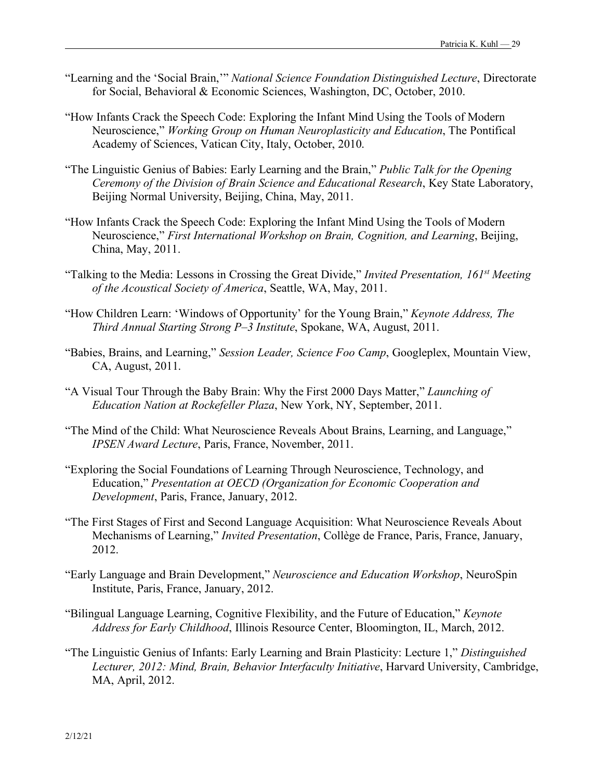- "Learning and the 'Social Brain,'" *National Science Foundation Distinguished Lecture*, Directorate for Social, Behavioral & Economic Sciences, Washington, DC, October, 2010.
- "How Infants Crack the Speech Code: Exploring the Infant Mind Using the Tools of Modern Neuroscience," *Working Group on Human Neuroplasticity and Education*, The Pontifical Academy of Sciences, Vatican City, Italy, October, 2010.
- "The Linguistic Genius of Babies: Early Learning and the Brain," *Public Talk for the Opening Ceremony of the Division of Brain Science and Educational Research*, Key State Laboratory, Beijing Normal University, Beijing, China, May, 2011.
- "How Infants Crack the Speech Code: Exploring the Infant Mind Using the Tools of Modern Neuroscience," *First International Workshop on Brain, Cognition, and Learning*, Beijing, China, May, 2011.
- "Talking to the Media: Lessons in Crossing the Great Divide," *Invited Presentation, 161st Meeting of the Acoustical Society of America*, Seattle, WA, May, 2011.
- "How Children Learn: 'Windows of Opportunity' for the Young Brain," *Keynote Address, The Third Annual Starting Strong P–3 Institute*, Spokane, WA, August, 2011.
- "Babies, Brains, and Learning," *Session Leader, Science Foo Camp*, Googleplex, Mountain View, CA, August, 2011.
- "A Visual Tour Through the Baby Brain: Why the First 2000 Days Matter," *Launching of Education Nation at Rockefeller Plaza*, New York, NY, September, 2011.
- "The Mind of the Child: What Neuroscience Reveals About Brains, Learning, and Language," *IPSEN Award Lecture*, Paris, France, November, 2011.
- "Exploring the Social Foundations of Learning Through Neuroscience, Technology, and Education," *Presentation at OECD (Organization for Economic Cooperation and Development*, Paris, France, January, 2012.
- "The First Stages of First and Second Language Acquisition: What Neuroscience Reveals About Mechanisms of Learning," *Invited Presentation*, Collège de France, Paris, France, January, 2012.
- "Early Language and Brain Development," *Neuroscience and Education Workshop*, NeuroSpin Institute, Paris, France, January, 2012.
- "Bilingual Language Learning, Cognitive Flexibility, and the Future of Education," *Keynote Address for Early Childhood*, Illinois Resource Center, Bloomington, IL, March, 2012.
- "The Linguistic Genius of Infants: Early Learning and Brain Plasticity: Lecture 1," *Distinguished Lecturer, 2012: Mind, Brain, Behavior Interfaculty Initiative*, Harvard University, Cambridge, MA, April, 2012.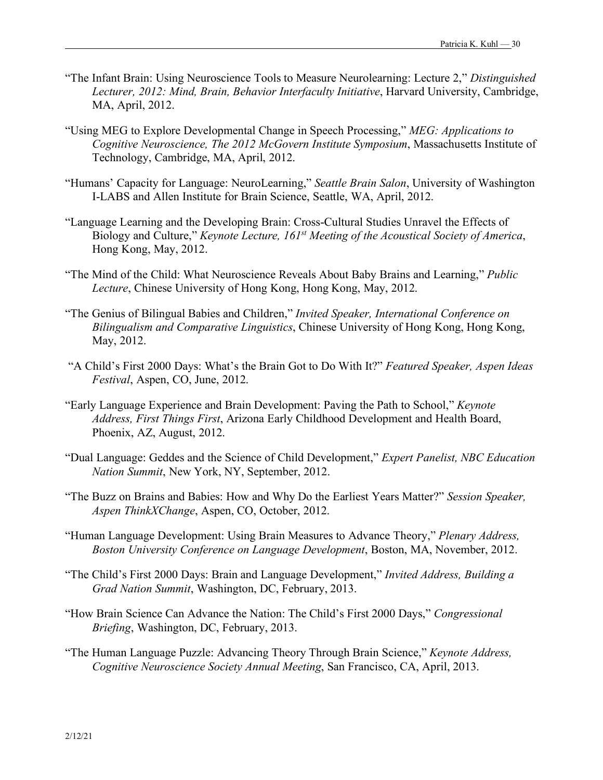- "The Infant Brain: Using Neuroscience Tools to Measure Neurolearning: Lecture 2," *Distinguished Lecturer, 2012: Mind, Brain, Behavior Interfaculty Initiative*, Harvard University, Cambridge, MA, April, 2012.
- "Using MEG to Explore Developmental Change in Speech Processing," *MEG: Applications to Cognitive Neuroscience, The 2012 McGovern Institute Symposium*, Massachusetts Institute of Technology, Cambridge, MA, April, 2012.
- "Humans' Capacity for Language: NeuroLearning," *Seattle Brain Salon*, University of Washington I-LABS and Allen Institute for Brain Science, Seattle, WA, April, 2012.
- "Language Learning and the Developing Brain: Cross-Cultural Studies Unravel the Effects of Biology and Culture," *Keynote Lecture, 161st Meeting of the Acoustical Society of America*, Hong Kong, May, 2012.
- "The Mind of the Child: What Neuroscience Reveals About Baby Brains and Learning," *Public Lecture*, Chinese University of Hong Kong, Hong Kong, May, 2012.
- "The Genius of Bilingual Babies and Children," *Invited Speaker, International Conference on Bilingualism and Comparative Linguistics*, Chinese University of Hong Kong, Hong Kong, May, 2012.
- "A Child's First 2000 Days: What's the Brain Got to Do With It?" *Featured Speaker, Aspen Ideas Festival*, Aspen, CO, June, 2012.
- "Early Language Experience and Brain Development: Paving the Path to School," *Keynote Address, First Things First*, Arizona Early Childhood Development and Health Board, Phoenix, AZ, August, 2012.
- "Dual Language: Geddes and the Science of Child Development," *Expert Panelist, NBC Education Nation Summit*, New York, NY, September, 2012.
- "The Buzz on Brains and Babies: How and Why Do the Earliest Years Matter?" *Session Speaker, Aspen ThinkXChange*, Aspen, CO, October, 2012.
- "Human Language Development: Using Brain Measures to Advance Theory," *Plenary Address, Boston University Conference on Language Development*, Boston, MA, November, 2012.
- "The Child's First 2000 Days: Brain and Language Development," *Invited Address, Building a Grad Nation Summit*, Washington, DC, February, 2013.
- "How Brain Science Can Advance the Nation: The Child's First 2000 Days," *Congressional Briefing*, Washington, DC, February, 2013.
- "The Human Language Puzzle: Advancing Theory Through Brain Science," *Keynote Address, Cognitive Neuroscience Society Annual Meeting*, San Francisco, CA, April, 2013.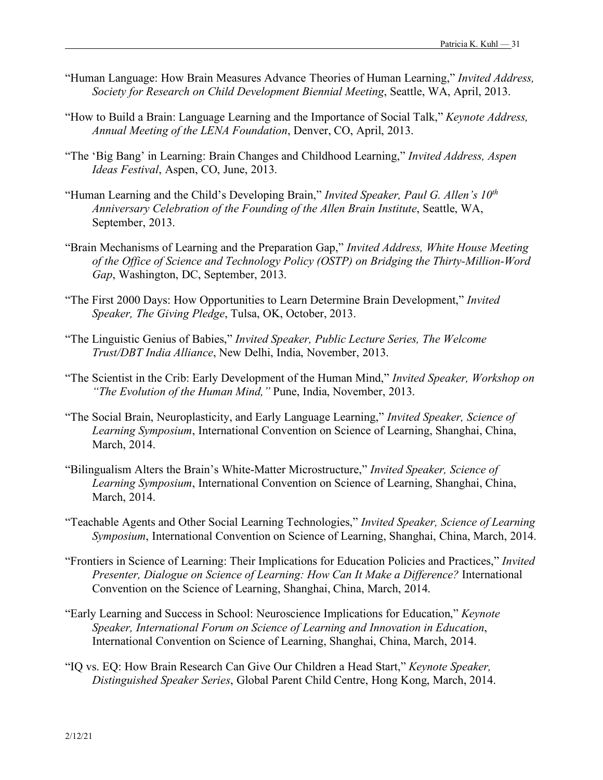- "Human Language: How Brain Measures Advance Theories of Human Learning," *Invited Address, Society for Research on Child Development Biennial Meeting*, Seattle, WA, April, 2013.
- "How to Build a Brain: Language Learning and the Importance of Social Talk," *Keynote Address, Annual Meeting of the LENA Foundation*, Denver, CO, April, 2013.
- "The 'Big Bang' in Learning: Brain Changes and Childhood Learning," *Invited Address, Aspen Ideas Festival*, Aspen, CO, June, 2013.
- "Human Learning and the Child's Developing Brain," *Invited Speaker, Paul G. Allen's 10th Anniversary Celebration of the Founding of the Allen Brain Institute*, Seattle, WA, September, 2013.
- "Brain Mechanisms of Learning and the Preparation Gap," *Invited Address, White House Meeting of the Office of Science and Technology Policy (OSTP) on Bridging the Thirty-Million-Word Gap*, Washington, DC, September, 2013.
- "The First 2000 Days: How Opportunities to Learn Determine Brain Development," *Invited Speaker, The Giving Pledge*, Tulsa, OK, October, 2013.
- "The Linguistic Genius of Babies," *Invited Speaker, Public Lecture Series, The Welcome Trust/DBT India Alliance*, New Delhi, India, November, 2013.
- "The Scientist in the Crib: Early Development of the Human Mind," *Invited Speaker, Workshop on "The Evolution of the Human Mind,"* Pune, India, November, 2013.
- "The Social Brain, Neuroplasticity, and Early Language Learning," *Invited Speaker, Science of Learning Symposium*, International Convention on Science of Learning, Shanghai, China, March, 2014.
- "Bilingualism Alters the Brain's White-Matter Microstructure," *Invited Speaker, Science of Learning Symposium*, International Convention on Science of Learning, Shanghai, China, March, 2014.
- "Teachable Agents and Other Social Learning Technologies," *Invited Speaker, Science of Learning Symposium*, International Convention on Science of Learning, Shanghai, China, March, 2014.
- "Frontiers in Science of Learning: Their Implications for Education Policies and Practices," *Invited Presenter, Dialogue on Science of Learning: How Can It Make a Difference?* International Convention on the Science of Learning, Shanghai, China, March, 2014.
- "Early Learning and Success in School: Neuroscience Implications for Education," *Keynote Speaker, International Forum on Science of Learning and Innovation in Education*, International Convention on Science of Learning, Shanghai, China, March, 2014.
- "IQ vs. EQ: How Brain Research Can Give Our Children a Head Start," *Keynote Speaker, Distinguished Speaker Series*, Global Parent Child Centre, Hong Kong, March, 2014.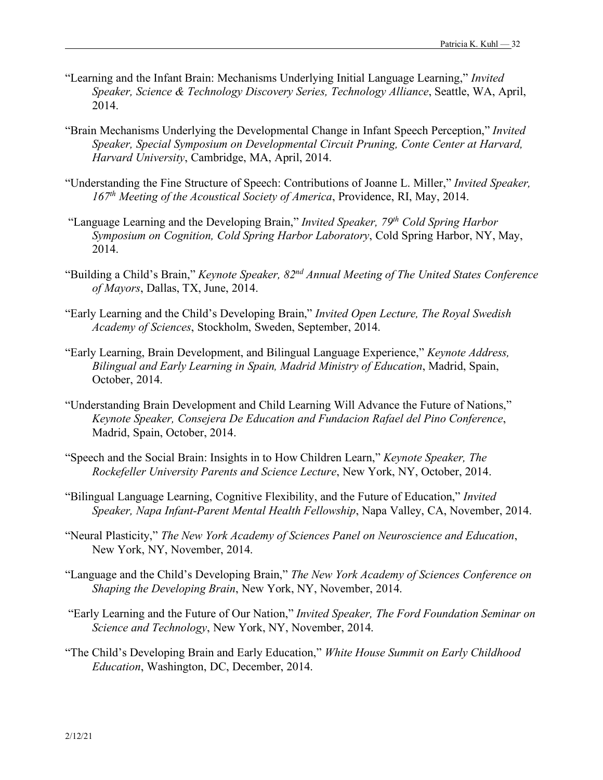- "Learning and the Infant Brain: Mechanisms Underlying Initial Language Learning," *Invited Speaker, Science & Technology Discovery Series, Technology Alliance*, Seattle, WA, April, 2014.
- "Brain Mechanisms Underlying the Developmental Change in Infant Speech Perception," *Invited Speaker, Special Symposium on Developmental Circuit Pruning, Conte Center at Harvard, Harvard University*, Cambridge, MA, April, 2014.
- "Understanding the Fine Structure of Speech: Contributions of Joanne L. Miller," *Invited Speaker, 167th Meeting of the Acoustical Society of America*, Providence, RI, May, 2014.
- "Language Learning and the Developing Brain," *Invited Speaker, 79th Cold Spring Harbor Symposium on Cognition, Cold Spring Harbor Laboratory*, Cold Spring Harbor, NY, May, 2014.
- "Building a Child's Brain," *Keynote Speaker, 82nd Annual Meeting of The United States Conference of Mayors*, Dallas, TX, June, 2014.
- "Early Learning and the Child's Developing Brain," *Invited Open Lecture, The Royal Swedish Academy of Sciences*, Stockholm, Sweden, September, 2014.
- "Early Learning, Brain Development, and Bilingual Language Experience," *Keynote Address, Bilingual and Early Learning in Spain, Madrid Ministry of Education*, Madrid, Spain, October, 2014.
- "Understanding Brain Development and Child Learning Will Advance the Future of Nations," *Keynote Speaker, Consejera De Education and Fundacion Rafael del Pino Conference*, Madrid, Spain, October, 2014.
- "Speech and the Social Brain: Insights in to How Children Learn," *Keynote Speaker, The Rockefeller University Parents and Science Lecture*, New York, NY, October, 2014.
- "Bilingual Language Learning, Cognitive Flexibility, and the Future of Education," *Invited Speaker, Napa Infant-Parent Mental Health Fellowship*, Napa Valley, CA, November, 2014.
- "Neural Plasticity," *The New York Academy of Sciences Panel on Neuroscience and Education*, New York, NY, November, 2014.
- "Language and the Child's Developing Brain," *The New York Academy of Sciences Conference on Shaping the Developing Brain*, New York, NY, November, 2014.
- "Early Learning and the Future of Our Nation," *Invited Speaker, The Ford Foundation Seminar on Science and Technology*, New York, NY, November, 2014.
- "The Child's Developing Brain and Early Education," *White House Summit on Early Childhood Education*, Washington, DC, December, 2014.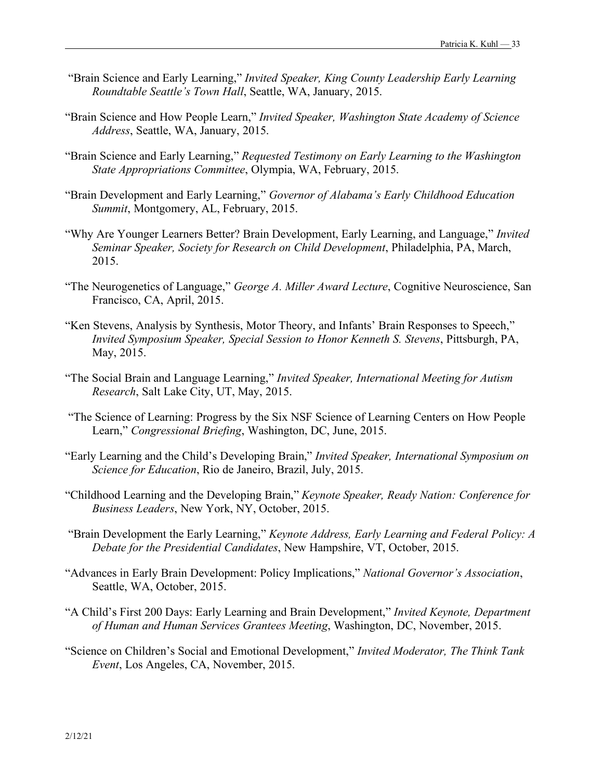- "Brain Science and Early Learning," *Invited Speaker, King County Leadership Early Learning Roundtable Seattle's Town Hall*, Seattle, WA, January, 2015.
- "Brain Science and How People Learn," *Invited Speaker, Washington State Academy of Science Address*, Seattle, WA, January, 2015.
- "Brain Science and Early Learning," *Requested Testimony on Early Learning to the Washington State Appropriations Committee*, Olympia, WA, February, 2015.
- "Brain Development and Early Learning," *Governor of Alabama's Early Childhood Education Summit*, Montgomery, AL, February, 2015.
- "Why Are Younger Learners Better? Brain Development, Early Learning, and Language," *Invited Seminar Speaker, Society for Research on Child Development*, Philadelphia, PA, March, 2015.
- "The Neurogenetics of Language," *George A. Miller Award Lecture*, Cognitive Neuroscience, San Francisco, CA, April, 2015.
- "Ken Stevens, Analysis by Synthesis, Motor Theory, and Infants' Brain Responses to Speech," *Invited Symposium Speaker, Special Session to Honor Kenneth S. Stevens*, Pittsburgh, PA, May, 2015.
- "The Social Brain and Language Learning," *Invited Speaker, International Meeting for Autism Research*, Salt Lake City, UT, May, 2015.
- "The Science of Learning: Progress by the Six NSF Science of Learning Centers on How People Learn," *Congressional Briefing*, Washington, DC, June, 2015.
- "Early Learning and the Child's Developing Brain," *Invited Speaker, International Symposium on Science for Education*, Rio de Janeiro, Brazil, July, 2015.
- "Childhood Learning and the Developing Brain," *Keynote Speaker, Ready Nation: Conference for Business Leaders*, New York, NY, October, 2015.
- "Brain Development the Early Learning," *Keynote Address, Early Learning and Federal Policy: A Debate for the Presidential Candidates*, New Hampshire, VT, October, 2015.
- "Advances in Early Brain Development: Policy Implications," *National Governor's Association*, Seattle, WA, October, 2015.
- "A Child's First 200 Days: Early Learning and Brain Development," *Invited Keynote, Department of Human and Human Services Grantees Meeting*, Washington, DC, November, 2015.
- "Science on Children's Social and Emotional Development," *Invited Moderator, The Think Tank Event*, Los Angeles, CA, November, 2015.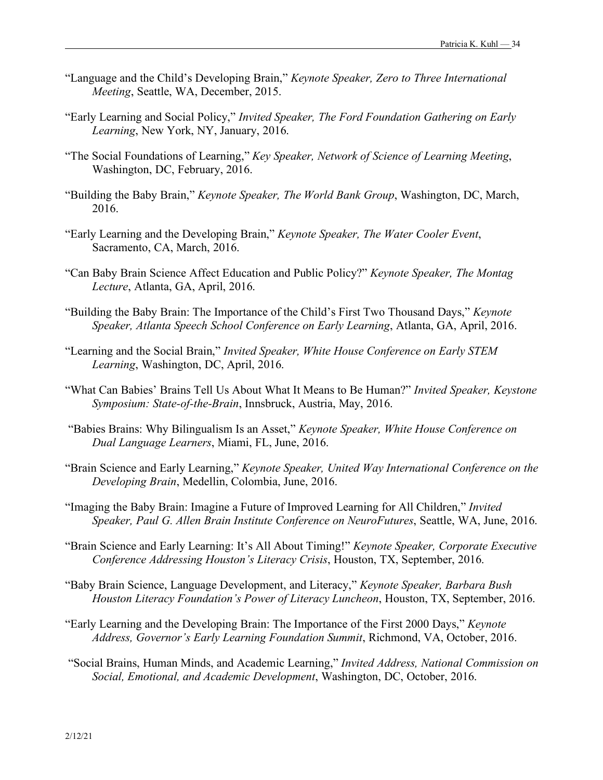- "Language and the Child's Developing Brain," *Keynote Speaker, Zero to Three International Meeting*, Seattle, WA, December, 2015.
- "Early Learning and Social Policy," *Invited Speaker, The Ford Foundation Gathering on Early Learning*, New York, NY, January, 2016.
- "The Social Foundations of Learning," *Key Speaker, Network of Science of Learning Meeting*, Washington, DC, February, 2016.
- "Building the Baby Brain," *Keynote Speaker, The World Bank Group*, Washington, DC, March, 2016.
- "Early Learning and the Developing Brain," *Keynote Speaker, The Water Cooler Event*, Sacramento, CA, March, 2016.
- "Can Baby Brain Science Affect Education and Public Policy?" *Keynote Speaker, The Montag Lecture*, Atlanta, GA, April, 2016.
- "Building the Baby Brain: The Importance of the Child's First Two Thousand Days," *Keynote Speaker, Atlanta Speech School Conference on Early Learning*, Atlanta, GA, April, 2016.
- "Learning and the Social Brain," *Invited Speaker, White House Conference on Early STEM Learning*, Washington, DC, April, 2016.
- "What Can Babies' Brains Tell Us About What It Means to Be Human?" *Invited Speaker, Keystone Symposium: State-of-the-Brain*, Innsbruck, Austria, May, 2016.
- "Babies Brains: Why Bilingualism Is an Asset," *Keynote Speaker, White House Conference on Dual Language Learners*, Miami, FL, June, 2016.
- "Brain Science and Early Learning," *Keynote Speaker, United Way International Conference on the Developing Brain*, Medellin, Colombia, June, 2016.
- "Imaging the Baby Brain: Imagine a Future of Improved Learning for All Children," *Invited Speaker, Paul G. Allen Brain Institute Conference on NeuroFutures*, Seattle, WA, June, 2016.
- "Brain Science and Early Learning: It's All About Timing!" *Keynote Speaker, Corporate Executive Conference Addressing Houston's Literacy Crisis*, Houston, TX, September, 2016.
- "Baby Brain Science, Language Development, and Literacy," *Keynote Speaker, Barbara Bush Houston Literacy Foundation's Power of Literacy Luncheon*, Houston, TX, September, 2016.
- "Early Learning and the Developing Brain: The Importance of the First 2000 Days," *Keynote Address, Governor's Early Learning Foundation Summit*, Richmond, VA, October, 2016.
- "Social Brains, Human Minds, and Academic Learning," *Invited Address, National Commission on Social, Emotional, and Academic Development*, Washington, DC, October, 2016.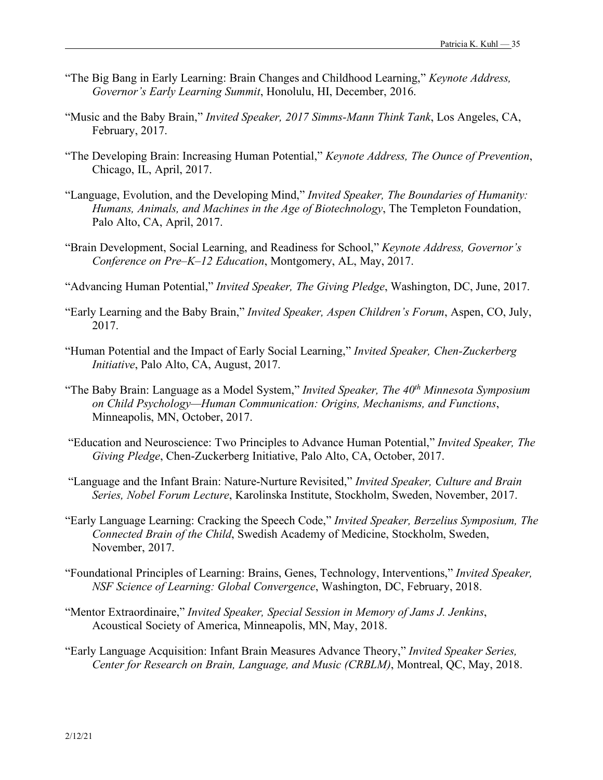- "The Big Bang in Early Learning: Brain Changes and Childhood Learning," *Keynote Address, Governor's Early Learning Summit*, Honolulu, HI, December, 2016.
- "Music and the Baby Brain," *Invited Speaker, 2017 Simms-Mann Think Tank*, Los Angeles, CA, February, 2017.
- "The Developing Brain: Increasing Human Potential," *Keynote Address, The Ounce of Prevention*, Chicago, IL, April, 2017.
- "Language, Evolution, and the Developing Mind," *Invited Speaker, The Boundaries of Humanity: Humans, Animals, and Machines in the Age of Biotechnology*, The Templeton Foundation, Palo Alto, CA, April, 2017.
- "Brain Development, Social Learning, and Readiness for School," *Keynote Address, Governor's Conference on Pre–K–12 Education*, Montgomery, AL, May, 2017.
- "Advancing Human Potential," *Invited Speaker, The Giving Pledge*, Washington, DC, June, 2017.
- "Early Learning and the Baby Brain," *Invited Speaker, Aspen Children's Forum*, Aspen, CO, July, 2017.
- "Human Potential and the Impact of Early Social Learning," *Invited Speaker, Chen-Zuckerberg Initiative*, Palo Alto, CA, August, 2017.
- "The Baby Brain: Language as a Model System," *Invited Speaker, The 40th Minnesota Symposium on Child Psychology—Human Communication: Origins, Mechanisms, and Functions*, Minneapolis, MN, October, 2017.
- "Education and Neuroscience: Two Principles to Advance Human Potential," *Invited Speaker, The Giving Pledge*, Chen-Zuckerberg Initiative, Palo Alto, CA, October, 2017.
- "Language and the Infant Brain: Nature-Nurture Revisited," *Invited Speaker, Culture and Brain Series, Nobel Forum Lecture*, Karolinska Institute, Stockholm, Sweden, November, 2017.
- "Early Language Learning: Cracking the Speech Code," *Invited Speaker, Berzelius Symposium, The Connected Brain of the Child*, Swedish Academy of Medicine, Stockholm, Sweden, November, 2017.
- "Foundational Principles of Learning: Brains, Genes, Technology, Interventions," *Invited Speaker, NSF Science of Learning: Global Convergence*, Washington, DC, February, 2018.
- "Mentor Extraordinaire," *Invited Speaker, Special Session in Memory of Jams J. Jenkins*, Acoustical Society of America, Minneapolis, MN, May, 2018.
- "Early Language Acquisition: Infant Brain Measures Advance Theory," *Invited Speaker Series, Center for Research on Brain, Language, and Music (CRBLM)*, Montreal, QC, May, 2018.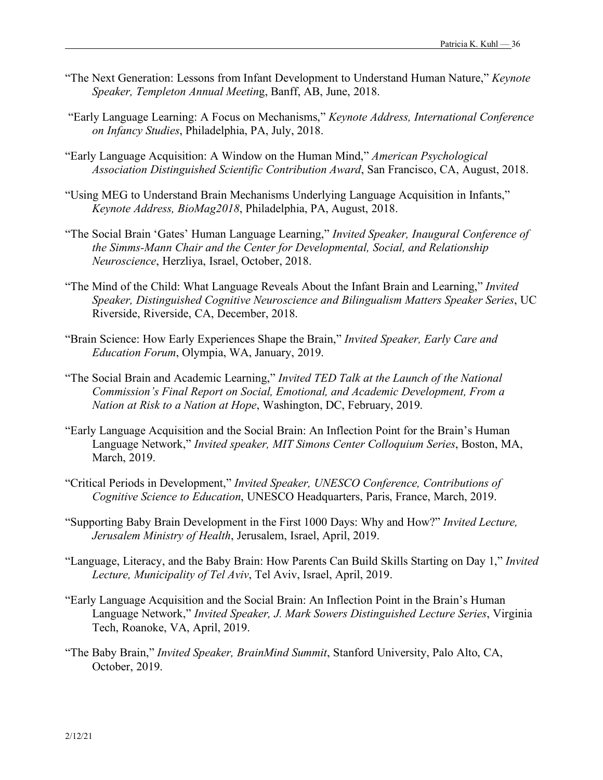- "The Next Generation: Lessons from Infant Development to Understand Human Nature," *Keynote Speaker, Templeton Annual Meetin*g, Banff, AB, June, 2018.
- "Early Language Learning: A Focus on Mechanisms," *Keynote Address, International Conference on Infancy Studies*, Philadelphia, PA, July, 2018.
- "Early Language Acquisition: A Window on the Human Mind," *American Psychological Association Distinguished Scientific Contribution Award*, San Francisco, CA, August, 2018.
- "Using MEG to Understand Brain Mechanisms Underlying Language Acquisition in Infants," *Keynote Address, BioMag2018*, Philadelphia, PA, August, 2018.
- "The Social Brain 'Gates' Human Language Learning," *Invited Speaker, Inaugural Conference of the Simms-Mann Chair and the Center for Developmental, Social, and Relationship Neuroscience*, Herzliya, Israel, October, 2018.
- "The Mind of the Child: What Language Reveals About the Infant Brain and Learning," *Invited Speaker, Distinguished Cognitive Neuroscience and Bilingualism Matters Speaker Series*, UC Riverside, Riverside, CA, December, 2018.
- "Brain Science: How Early Experiences Shape the Brain," *Invited Speaker, Early Care and Education Forum*, Olympia, WA, January, 2019.
- "The Social Brain and Academic Learning," *Invited TED Talk at the Launch of the National Commission's Final Report on Social, Emotional, and Academic Development, From a Nation at Risk to a Nation at Hope*, Washington, DC, February, 2019.
- "Early Language Acquisition and the Social Brain: An Inflection Point for the Brain's Human Language Network," *Invited speaker, MIT Simons Center Colloquium Series*, Boston, MA, March, 2019.
- "Critical Periods in Development," *Invited Speaker, UNESCO Conference, Contributions of Cognitive Science to Education*, UNESCO Headquarters, Paris, France, March, 2019.
- "Supporting Baby Brain Development in the First 1000 Days: Why and How?" *Invited Lecture, Jerusalem Ministry of Health*, Jerusalem, Israel, April, 2019.
- "Language, Literacy, and the Baby Brain: How Parents Can Build Skills Starting on Day 1," *Invited Lecture, Municipality of Tel Aviv*, Tel Aviv, Israel, April, 2019.
- "Early Language Acquisition and the Social Brain: An Inflection Point in the Brain's Human Language Network," *Invited Speaker, J. Mark Sowers Distinguished Lecture Series*, Virginia Tech, Roanoke, VA, April, 2019.
- "The Baby Brain," *Invited Speaker, BrainMind Summit*, Stanford University, Palo Alto, CA, October, 2019.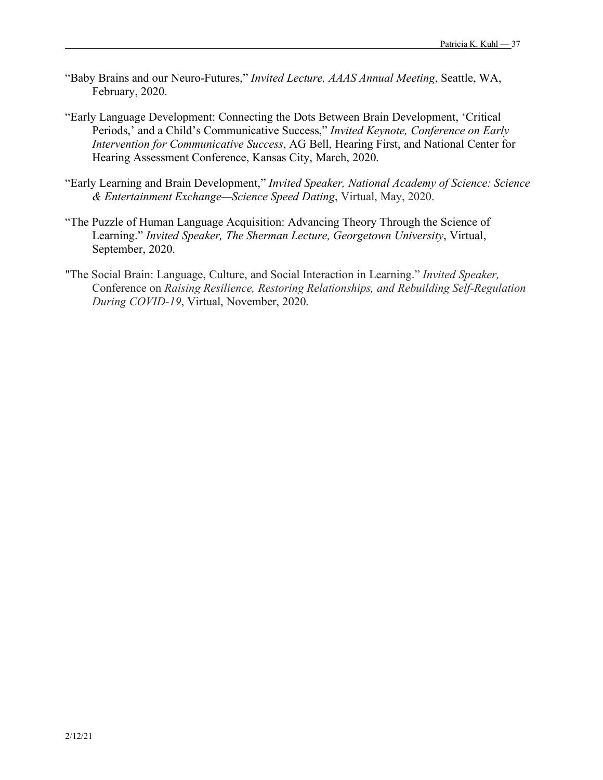- "Baby Brains and our Neuro-Futures," *Invited Lecture, AAAS Annual Meeting*, Seattle, WA, February, 2020.
- "Early Language Development: Connecting the Dots Between Brain Development, 'Critical Periods,' and a Child's Communicative Success," *Invited Keynote, Conference on Early Intervention for Communicative Success*, AG Bell, Hearing First, and National Center for Hearing Assessment Conference, Kansas City, March, 2020.
- "Early Learning and Brain Development," *Invited Speaker, National Academy of Science: Science & Entertainment Exchange—Science Speed Dating*, Virtual, May, 2020.
- "The Puzzle of Human Language Acquisition: Advancing Theory Through the Science of Learning." *Invited Speaker, The Sherman Lecture, Georgetown University*, Virtual, September, 2020.
- "The Social Brain: Language, Culture, and Social Interaction in Learning." *Invited Speaker,* Conference on *Raising Resilience, Restoring Relationships, and Rebuilding Self-Regulation During COVID-19*, Virtual, November, 2020.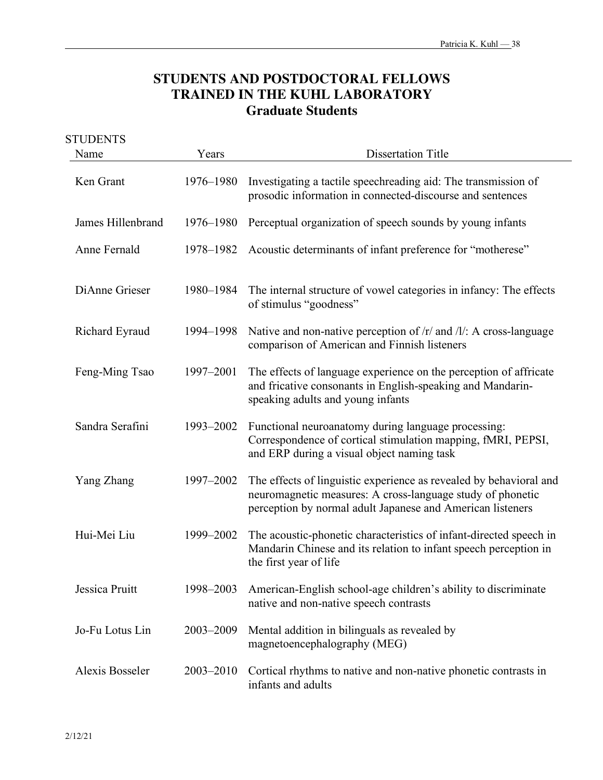# **STUDENTS AND POSTDOCTORAL FELLOWS TRAINED IN THE KUHL LABORATORY Graduate Students**

| <b>STUDENTS</b><br>Name | Years     | <b>Dissertation Title</b>                                                                                                                                                                      |
|-------------------------|-----------|------------------------------------------------------------------------------------------------------------------------------------------------------------------------------------------------|
|                         |           |                                                                                                                                                                                                |
| Ken Grant               | 1976–1980 | Investigating a tactile speechreading aid: The transmission of<br>prosodic information in connected-discourse and sentences                                                                    |
| James Hillenbrand       | 1976–1980 | Perceptual organization of speech sounds by young infants                                                                                                                                      |
| Anne Fernald            | 1978-1982 | Acoustic determinants of infant preference for "motherese"                                                                                                                                     |
| DiAnne Grieser          | 1980-1984 | The internal structure of vowel categories in infancy: The effects<br>of stimulus "goodness"                                                                                                   |
| Richard Eyraud          | 1994-1998 | Native and non-native perception of $/r$ and $/l$ : A cross-language<br>comparison of American and Finnish listeners                                                                           |
| Feng-Ming Tsao          | 1997-2001 | The effects of language experience on the perception of affricate<br>and fricative consonants in English-speaking and Mandarin-<br>speaking adults and young infants                           |
| Sandra Serafini         | 1993-2002 | Functional neuroanatomy during language processing:<br>Correspondence of cortical stimulation mapping, fMRI, PEPSI,<br>and ERP during a visual object naming task                              |
| Yang Zhang              | 1997-2002 | The effects of linguistic experience as revealed by behavioral and<br>neuromagnetic measures: A cross-language study of phonetic<br>perception by normal adult Japanese and American listeners |
| Hui-Mei Liu             | 1999-2002 | The acoustic-phonetic characteristics of infant-directed speech in<br>Mandarin Chinese and its relation to infant speech perception in<br>the first year of life                               |
| Jessica Pruitt          | 1998-2003 | American-English school-age children's ability to discriminate<br>native and non-native speech contrasts                                                                                       |
| Jo-Fu Lotus Lin         | 2003-2009 | Mental addition in bilinguals as revealed by<br>magnetoencephalography (MEG)                                                                                                                   |
| <b>Alexis Bosseler</b>  | 2003-2010 | Cortical rhythms to native and non-native phonetic contrasts in<br>infants and adults                                                                                                          |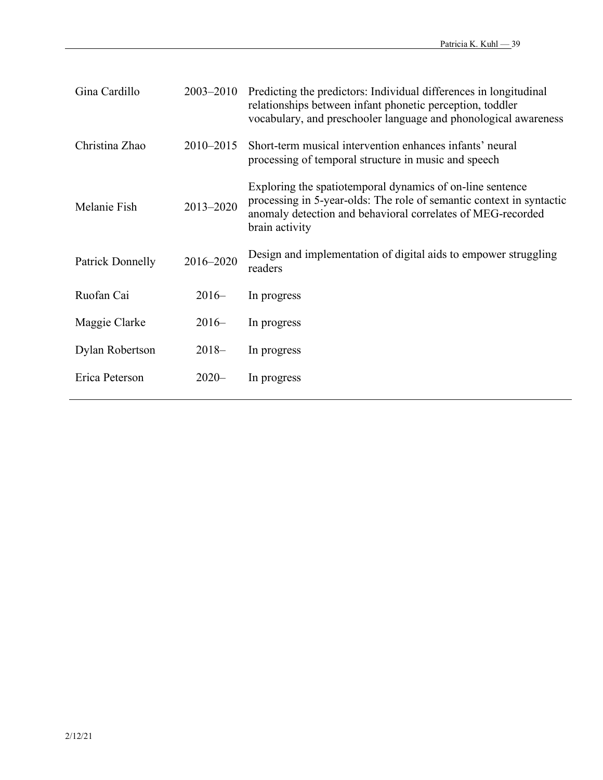| 2003-2010 | Predicting the predictors: Individual differences in longitudinal<br>relationships between infant phonetic perception, toddler<br>vocabulary, and preschooler language and phonological awareness                  |  |
|-----------|--------------------------------------------------------------------------------------------------------------------------------------------------------------------------------------------------------------------|--|
| 2010-2015 | Short-term musical intervention enhances infants' neural<br>processing of temporal structure in music and speech                                                                                                   |  |
| 2013-2020 | Exploring the spatiotemporal dynamics of on-line sentence<br>processing in 5-year-olds. The role of semantic context in syntactic<br>anomaly detection and behavioral correlates of MEG-recorded<br>brain activity |  |
| 2016-2020 | Design and implementation of digital aids to empower struggling<br>readers                                                                                                                                         |  |
| $2016-$   | In progress                                                                                                                                                                                                        |  |
| $2016-$   | In progress                                                                                                                                                                                                        |  |
| $2018-$   | In progress                                                                                                                                                                                                        |  |
| $2020 -$  | In progress                                                                                                                                                                                                        |  |
|           |                                                                                                                                                                                                                    |  |